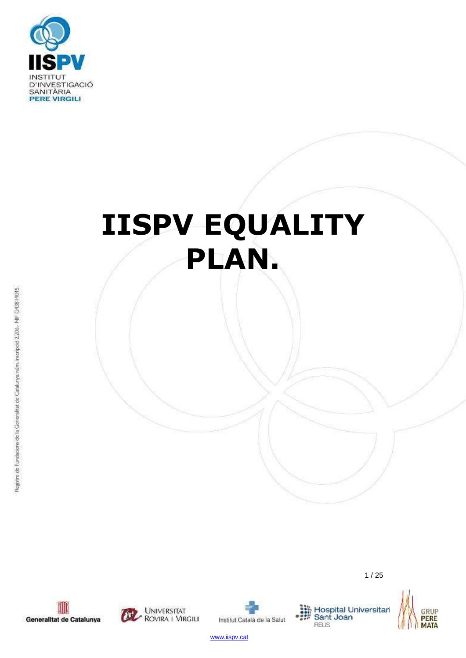

# **IISPV EQUALITY PLAN.**

M Generalitat de Catalunya



Institut Català de la Salut

 $1/25$ 



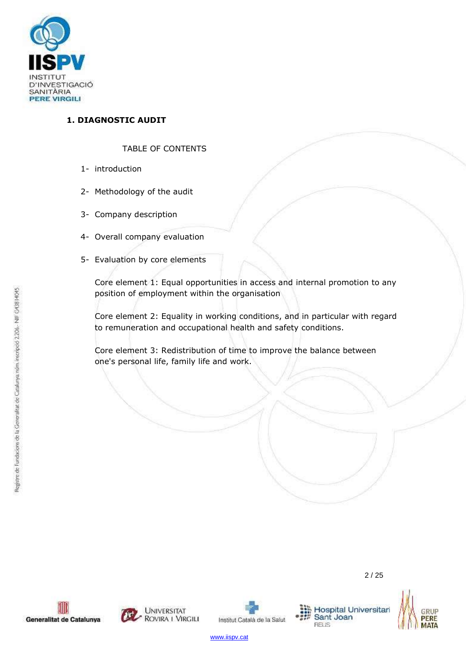

## **1. DIAGNOSTIC AUDIT**

#### TABLE OF CONTENTS

- 1- introduction
- 2- Methodology of the audit
- 3- Company description
- 4- Overall company evaluation
- 5- Evaluation by core elements

Core element 1: Equal opportunities in access and internal promotion to any position of employment within the organisation

Core element 2: Equality in working conditions, and in particular with regard to remuneration and occupational health and safety conditions.

Core element 3: Redistribution of time to improve the balance between one's personal life, family life and work.

OIII Generalitat de Catalunya





2 / 25



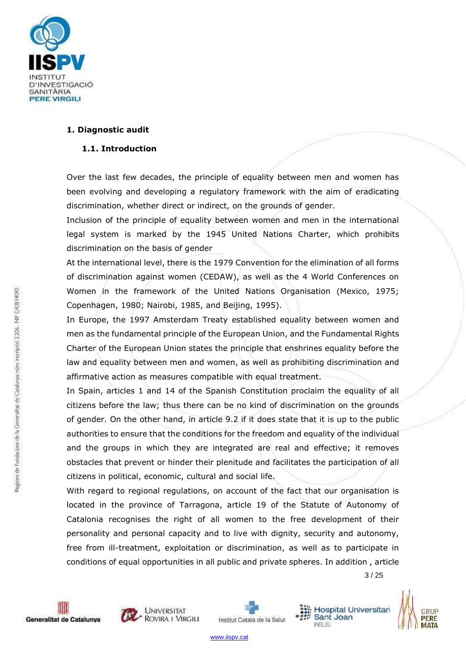

#### **1. Diagnostic audit**

#### **1.1. Introduction**

Over the last few decades, the principle of equality between men and women has been evolving and developing a regulatory framework with the aim of eradicating discrimination, whether direct or indirect, on the grounds of gender.

Inclusion of the principle of equality between women and men in the international legal system is marked by the 1945 United Nations Charter, which prohibits discrimination on the basis of gender

At the international level, there is the 1979 Convention for the elimination of all forms of discrimination against women (CEDAW), as well as the 4 World Conferences on Women in the framework of the United Nations Organisation (Mexico, 1975; Copenhagen, 1980; Nairobi, 1985, and Beijing, 1995).

In Europe, the 1997 Amsterdam Treaty established equality between women and men as the fundamental principle of the European Union, and the Fundamental Rights Charter of the European Union states the principle that enshrines equality before the law and equality between men and women, as well as prohibiting discrimination and affirmative action as measures compatible with equal treatment.

In Spain, articles 1 and 14 of the Spanish Constitution proclaim the equality of all citizens before the law; thus there can be no kind of discrimination on the grounds of gender. On the other hand, in article 9.2 if it does state that it is up to the public authorities to ensure that the conditions for the freedom and equality of the individual and the groups in which they are integrated are real and effective; it removes obstacles that prevent or hinder their plenitude and facilitates the participation of all citizens in political, economic, cultural and social life.

 3 / 25 With regard to regional regulations, on account of the fact that our organisation is located in the province of Tarragona, article 19 of the Statute of Autonomy of Catalonia recognises the right of all women to the free development of their personality and personal capacity and to live with dignity, security and autonomy, free from ill-treatment, exploitation or discrimination, as well as to participate in conditions of equal opportunities in all public and private spheres. In addition , article



Registre de Fundacions de la Generalitat de Catalunya rum. inscripció 2.206,- NIF GA3814045







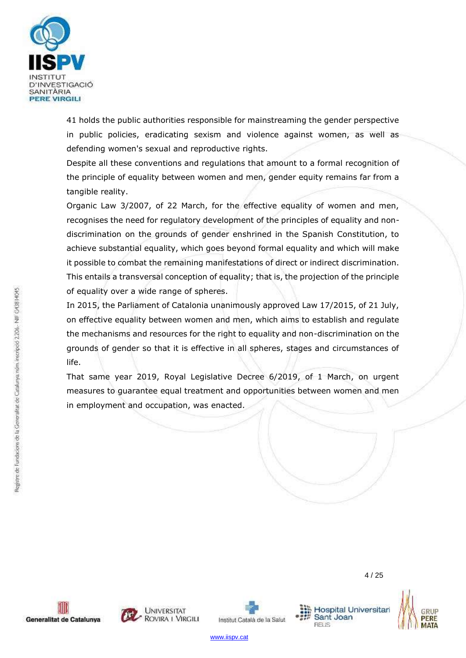

41 holds the public authorities responsible for mainstreaming the gender perspective in public policies, eradicating sexism and violence against women, as well as defending women's sexual and reproductive rights.

Despite all these conventions and regulations that amount to a formal recognition of the principle of equality between women and men, gender equity remains far from a tangible reality.

Organic Law 3/2007, of 22 March, for the effective equality of women and men, recognises the need for regulatory development of the principles of equality and nondiscrimination on the grounds of gender enshrined in the Spanish Constitution, to achieve substantial equality, which goes beyond formal equality and which will make it possible to combat the remaining manifestations of direct or indirect discrimination. This entails a transversal conception of equality; that is, the projection of the principle of equality over a wide range of spheres.

In 2015, the Parliament of Catalonia unanimously approved Law 17/2015, of 21 July, on effective equality between women and men, which aims to establish and regulate the mechanisms and resources for the right to equality and non-discrimination on the grounds of gender so that it is effective in all spheres, stages and circumstances of life.

That same year 2019, Royal Legislative Decree 6/2019, of 1 March, on urgent measures to guarantee equal treatment and opportunities between women and men in employment and occupation, was enacted.

Generalitat de Catalunya





[www.iispv.cat](http://www.iispv.cat/)



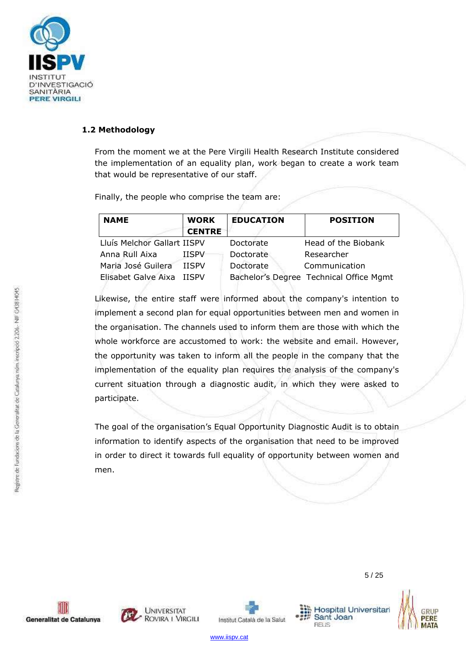

## **1.2 Methodology**

From the moment we at the Pere Virgili Health Research Institute considered the implementation of an equality plan, work began to create a work team that would be representative of our staff.

Finally, the people who comprise the team are:

| <b>NAME</b>                 | <b>WORK</b>   | <b>EDUCATION</b> | <b>POSITION</b>                         |
|-----------------------------|---------------|------------------|-----------------------------------------|
|                             | <b>CENTRE</b> |                  |                                         |
| Lluís Melchor Gallart IISPV |               | Doctorate        | Head of the Biobank                     |
| Anna Rull Aixa              | <b>IISPV</b>  | Doctorate        | Researcher                              |
| Maria José Guilera          | <b>IISPV</b>  | Doctorate        | Communication                           |
| Elisabet Galve Aixa IISPV   |               |                  | Bachelor's Degree Technical Office Mgmt |

Likewise, the entire staff were informed about the company's intention to implement a second plan for equal opportunities between men and women in the organisation. The channels used to inform them are those with which the whole workforce are accustomed to work: the website and email. However, the opportunity was taken to inform all the people in the company that the implementation of the equality plan requires the analysis of the company's current situation through a diagnostic audit, in which they were asked to participate.

The goal of the organisation's Equal Opportunity Diagnostic Audit is to obtain information to identify aspects of the organisation that need to be improved in order to direct it towards full equality of opportunity between women and men.







5 / 25



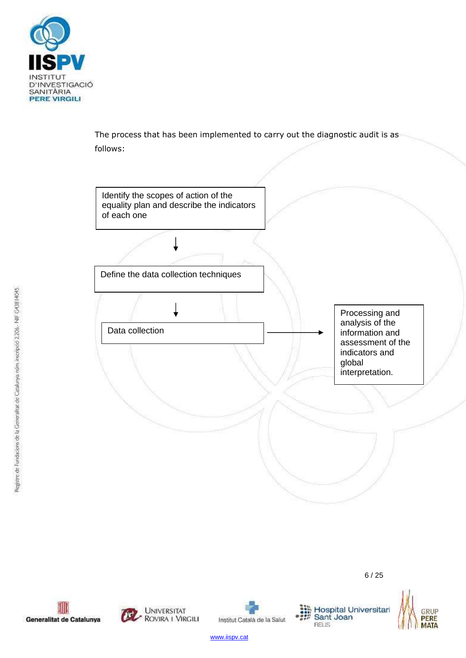

The process that has been implemented to carry out the diagnostic audit is as follows:









6 / 25



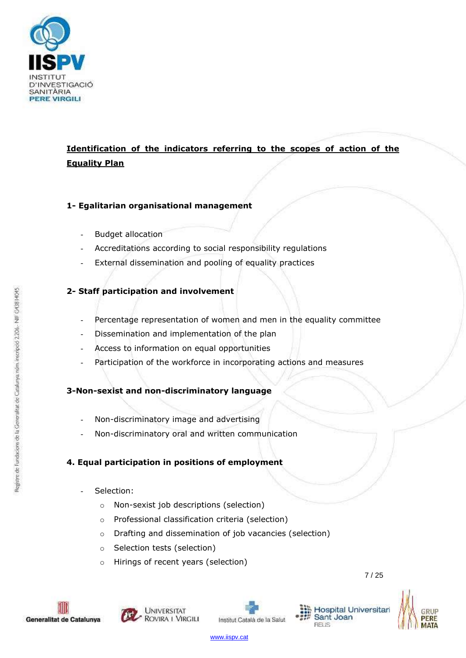

# **Identification of the indicators referring to the scopes of action of the Equality Plan**

# **1- Egalitarian organisational management**

- Budget allocation
- Accreditations according to social responsibility regulations
- External dissemination and pooling of equality practices

# **2- Staff participation and involvement**

- Percentage representation of women and men in the equality committee
- Dissemination and implementation of the plan
- Access to information on equal opportunities
- Participation of the workforce in incorporating actions and measures

# **3-Non-sexist and non-discriminatory language**

- Non-discriminatory image and advertising
- Non-discriminatory oral and written communication

# **4. Equal participation in positions of employment**

- Selection:
	- o Non-sexist job descriptions (selection)
	- o Professional classification criteria (selection)
	- o Drafting and dissemination of job vacancies (selection)
	- o Selection tests (selection)
	- o Hirings of recent years (selection)







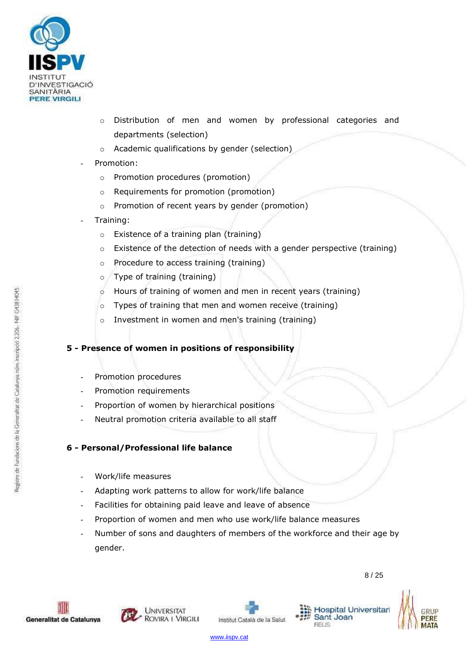

- $\circ$  Distribution of men and women by professional categories and departments (selection)
- o Academic qualifications by gender (selection)
- Promotion:
	- o Promotion procedures (promotion)
	- o Requirements for promotion (promotion)
	- o Promotion of recent years by gender (promotion)
- Training:
	- o Existence of a training plan (training)
	- o Existence of the detection of needs with a gender perspective (training)
	- o Procedure to access training (training)
	- o Type of training (training)
	- o Hours of training of women and men in recent years (training)
	- o Types of training that men and women receive (training)
	- o Investment in women and men's training (training)

# **5 - Presence of women in positions of responsibility**

- Promotion procedures
- Promotion requirements
- Proportion of women by hierarchical positions
- Neutral promotion criteria available to all staff

# **6 - Personal/Professional life balance**

- Work/life measures
- Adapting work patterns to allow for work/life balance
- Facilities for obtaining paid leave and leave of absence
- Proportion of women and men who use work/life balance measures
- Number of sons and daughters of members of the workforce and their age by gender.

[www.iispv.cat](http://www.iispv.cat/)







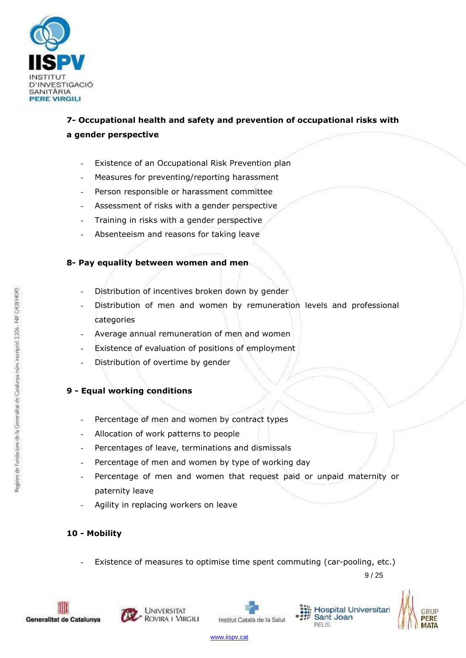

# **7- Occupational health and safety and prevention of occupational risks with a gender perspective**

- Existence of an Occupational Risk Prevention plan
- Measures for preventing/reporting harassment
- Person responsible or harassment committee
- Assessment of risks with a gender perspective
- Training in risks with a gender perspective
- Absenteeism and reasons for taking leave

# **8- Pay equality between women and men**

- Distribution of incentives broken down by gender
- Distribution of men and women by remuneration levels and professional categories
- Average annual remuneration of men and women
- Existence of evaluation of positions of employment
- Distribution of overtime by gender

# **9 - Equal working conditions**

- Percentage of men and women by contract types
- Allocation of work patterns to people
- Percentages of leave, terminations and dismissals
- Percentage of men and women by type of working day
- Percentage of men and women that request paid or unpaid maternity or paternity leave
- Agility in replacing workers on leave

# **10 - Mobility**

Existence of measures to optimise time spent commuting (car-pooling, etc.)

9 / 25



**UNIVERSITAT ROVIRA I VIRGILI** 





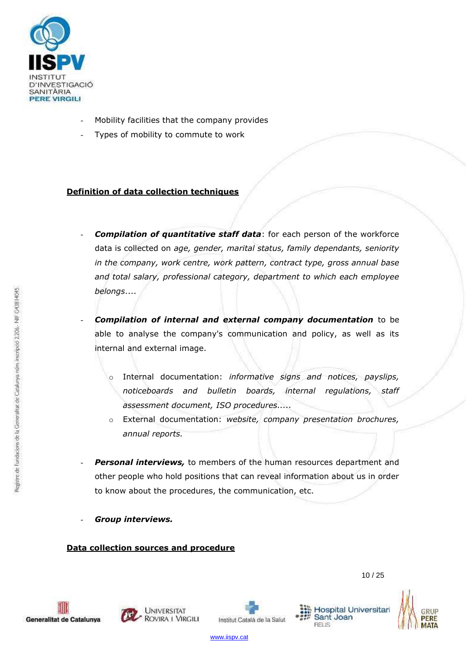

- Mobility facilities that the company provides
- Types of mobility to commute to work

# **Definition of data collection techniques**

- **Compilation of quantitative staff data:** for each person of the workforce data is collected on *age, gender, marital status, family dependants, seniority in the company, work centre, work pattern, contract type, gross annual base and total salary, professional category, department to which each employee belongs*....
- Compilation of internal and external company documentation to be able to analyse the company's communication and policy, as well as its internal and external image.
	- Internal documentation: *informative signs and notices, payslips, noticeboards and bulletin boards, internal regulations, staff assessment document, ISO procedures.....*
	- o External documentation: *website, company presentation brochures, annual reports.*
- **Personal interviews,** to members of the human resources department and other people who hold positions that can reveal information about us in order to know about the procedures, the communication, etc.
- *Group interviews.*

# **Data collection sources and procedure**





**UNIVERSITAT ROVIRA I VIRGILI** 





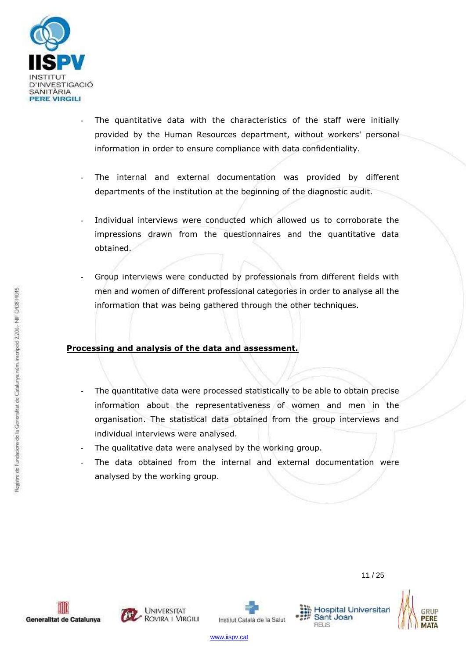

- The quantitative data with the characteristics of the staff were initially provided by the Human Resources department, without workers' personal information in order to ensure compliance with data confidentiality.
- The internal and external documentation was provided by different departments of the institution at the beginning of the diagnostic audit.
- Individual interviews were conducted which allowed us to corroborate the impressions drawn from the questionnaires and the quantitative data obtained.
- Group interviews were conducted by professionals from different fields with men and women of different professional categories in order to analyse all the information that was being gathered through the other techniques.

# **Processing and analysis of the data and assessment.**

- The quantitative data were processed statistically to be able to obtain precise information about the representativeness of women and men in the organisation. The statistical data obtained from the group interviews and individual interviews were analysed.
- The qualitative data were analysed by the working group.
- The data obtained from the internal and external documentation were analysed by the working group.









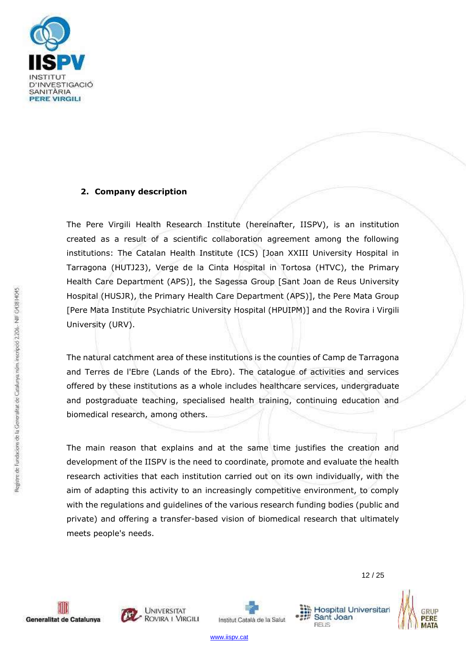

# **2. Company description**

The Pere Virgili Health Research Institute (hereinafter, IISPV), is an institution created as a result of a scientific collaboration agreement among the following institutions: The Catalan Health Institute (ICS) [Joan XXIII University Hospital in Tarragona (HUTJ23), Verge de la Cinta Hospital in Tortosa (HTVC), the Primary Health Care Department (APS)], the Sagessa Group [Sant Joan de Reus University Hospital (HUSJR), the Primary Health Care Department (APS)], the Pere Mata Group [Pere Mata Institute Psychiatric University Hospital (HPUIPM)] and the Rovira i Virgili University (URV).

The natural catchment area of these institutions is the counties of Camp de Tarragona and Terres de l'Ebre (Lands of the Ebro). The catalogue of activities and services offered by these institutions as a whole includes healthcare services, undergraduate and postgraduate teaching, specialised health training, continuing education and biomedical research, among others.

The main reason that explains and at the same time justifies the creation and development of the IISPV is the need to coordinate, promote and evaluate the health research activities that each institution carried out on its own individually, with the aim of adapting this activity to an increasingly competitive environment, to comply with the regulations and guidelines of the various research funding bodies (public and private) and offering a transfer-based vision of biomedical research that ultimately meets people's needs.





Institut Català de la Salut

[www.iispv.cat](http://www.iispv.cat/)



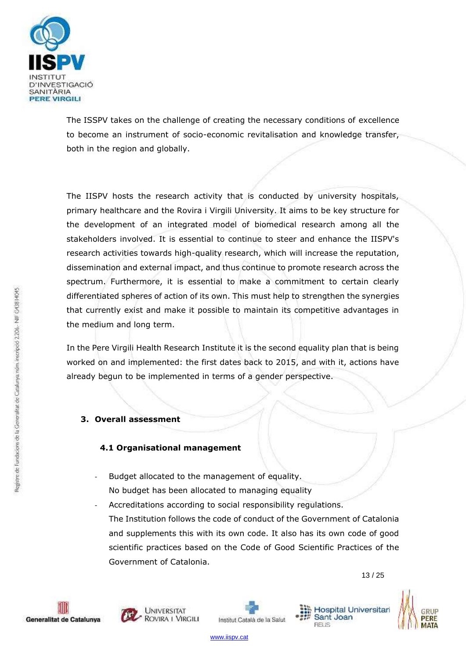

The ISSPV takes on the challenge of creating the necessary conditions of excellence to become an instrument of socio-economic revitalisation and knowledge transfer, both in the region and globally.

The IISPV hosts the research activity that is conducted by university hospitals, primary healthcare and the Rovira i Virgili University. It aims to be key structure for the development of an integrated model of biomedical research among all the stakeholders involved. It is essential to continue to steer and enhance the IISPV's research activities towards high-quality research, which will increase the reputation, dissemination and external impact, and thus continue to promote research across the spectrum. Furthermore, it is essential to make a commitment to certain clearly differentiated spheres of action of its own. This must help to strengthen the synergies that currently exist and make it possible to maintain its competitive advantages in the medium and long term.

In the Pere Virgili Health Research Institute it is the second equality plan that is being worked on and implemented: the first dates back to 2015, and with it, actions have already begun to be implemented in terms of a gender perspective.

#### **3. Overall assessment**

#### **4.1 Organisational management**

- Budget allocated to the management of equality. No budget has been allocated to managing equality
- Accreditations according to social responsibility regulations. The Institution follows the code of conduct of the Government of Catalonia and supplements this with its own code. It also has its own code of good scientific practices based on the Code of Good Scientific Practices of the Government of Catalonia.

13 / 25









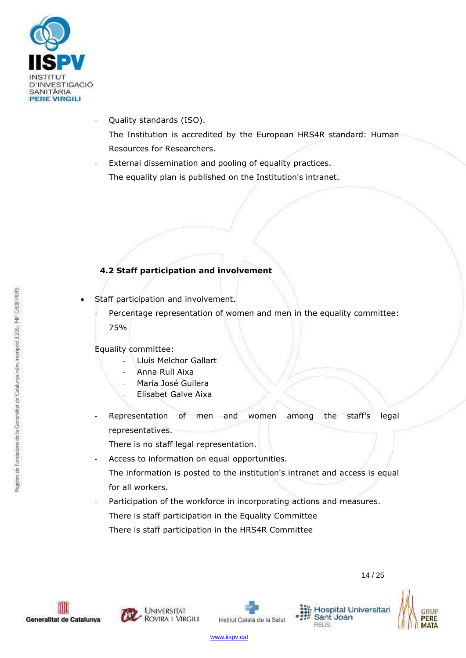

- Quality standards (ISO).
	- The Institution is accredited by the European HRS4R standard: Human Resources for Researchers.
- External dissemination and pooling of equality practices. The equality plan is published on the Institution's intranet.

# **4.2 Staff participation and involvement**

Staff participation and involvement.

Percentage representation of women and men in the equality committee: 75%

Equality committee:

- Lluís Melchor Gallart
- Anna Rull Aixa
- Maria José Guilera
- Elisabet Galve Aixa
- Representation of men and women among the staff's legal representatives.

There is no staff legal representation.

- Access to information on equal opportunities.
	- The information is posted to the institution's intranet and access is equal for all workers.
- Participation of the workforce in incorporating actions and measures. There is staff participation in the Equality Committee There is staff participation in the HRS4R Committee



Registre de Fundacions de la Generalitat de Catalunya núm. inscripció 2.206, NIF GA3814045







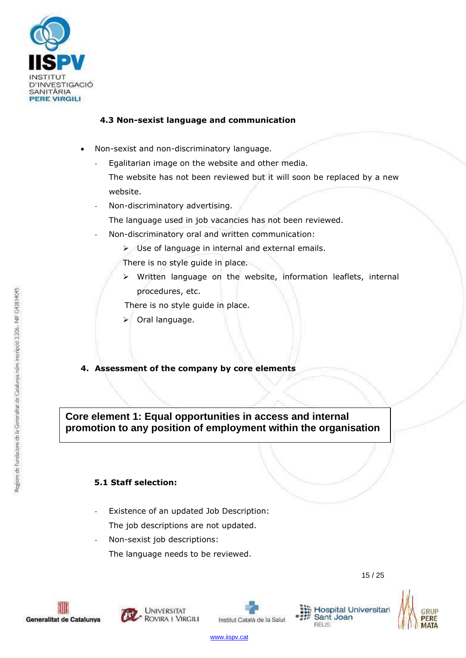

## **4.3 Non-sexist language and communication**

- Non-sexist and non-discriminatory language.
	- Egalitarian image on the website and other media. The website has not been reviewed but it will soon be replaced by a new website.
	- Non-discriminatory advertising.
		- The language used in job vacancies has not been reviewed.
	- Non-discriminatory oral and written communication:
		- ➢ Use of language in internal and external emails.
		- There is no style guide in place.
		- ➢ Written language on the website, information leaflets, internal procedures, etc.

There is no style guide in place.

➢ Oral language.

# **4. Assessment of the company by core elements**

# **Core element 1: Equal opportunities in access and internal promotion to any position of employment within the organisation**

# **5.1 Staff selection:**

- Existence of an updated Job Description: The job descriptions are not updated.
- Non-sexist job descriptions:
	- The language needs to be reviewed.





15 / 25





Registre de Fundacions de la Generalitat de Catalunya núm. inscripció 2.206, NIF GA3814045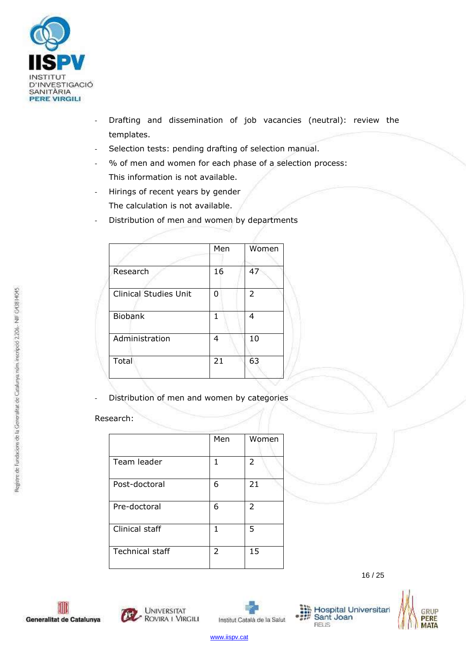

- Drafting and dissemination of job vacancies (neutral): review the templates.
- Selection tests: pending drafting of selection manual.
- % of men and women for each phase of a selection process: This information is not available.
- Hirings of recent years by gender The calculation is not available.
- Distribution of men and women by departments

|                              | Men | Women          |
|------------------------------|-----|----------------|
| Research                     | 16  | 47             |
| <b>Clinical Studies Unit</b> | O   | $\overline{2}$ |
| <b>Biobank</b>               | 1   | 4              |
| Administration               | 4   | 10             |
| Total                        | 21  | 63             |
|                              |     |                |

Distribution of men and women by categories

#### Research:

|                        | Men | Women |
|------------------------|-----|-------|
| Team leader            | 1   | 2     |
| Post-doctoral          | 6   | 21    |
| Pre-doctoral           | 6   | 2     |
| Clinical staff         | 1   | 5     |
| <b>Technical staff</b> | 2   | 15    |





JIII Generalitat de Catalunya





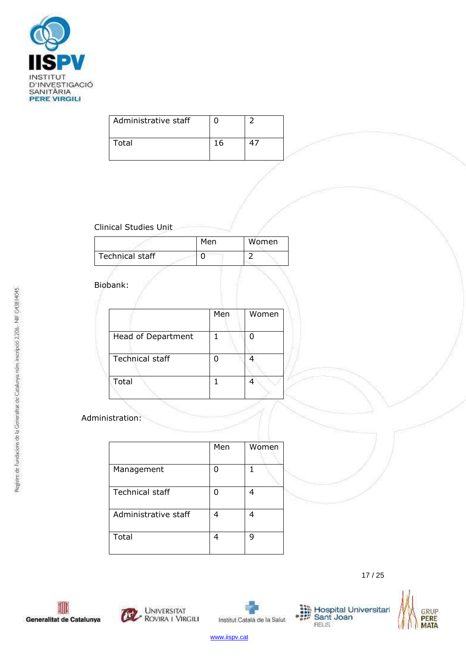

| Administrative staff |    |  |
|----------------------|----|--|
| Total                | 16 |  |

#### Clinical Studies Unit

|                 | Men | Women |
|-----------------|-----|-------|
| Technical staff |     |       |

## Biobank:

|                    | Men | Women |
|--------------------|-----|-------|
| Head of Department |     |       |
| Technical staff    |     |       |
| Total              |     |       |

# Administration:

|                      | Men | Women |
|----------------------|-----|-------|
| Management           | Ω   | 1     |
| Technical staff      | O   |       |
| Administrative staff | 4   |       |
| Total                | 4   | g     |









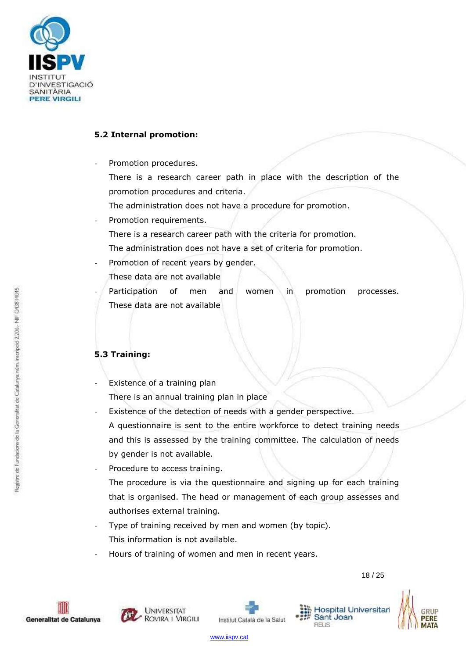

## **5.2 Internal promotion:**

Promotion procedures.

There is a research career path in place with the description of the promotion procedures and criteria.

The administration does not have a procedure for promotion.

- Promotion requirements.
	- There is a research career path with the criteria for promotion. The administration does not have a set of criteria for promotion.
- Promotion of recent years by gender.
	- These data are not available

Participation of men and women in promotion processes. These data are not available

# **5.3 Training:**

- Existence of a training plan There is an annual training plan in place
- Existence of the detection of needs with a gender perspective.

A questionnaire is sent to the entire workforce to detect training needs and this is assessed by the training committee. The calculation of needs by gender is not available.

Procedure to access training.

The procedure is via the questionnaire and signing up for each training that is organised. The head or management of each group assesses and authorises external training.

- Type of training received by men and women (by topic). This information is not available.
- Hours of training of women and men in recent years.







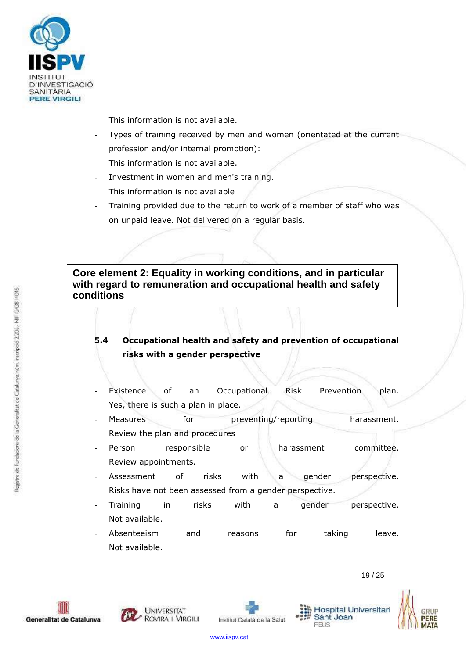

This information is not available.

- Types of training received by men and women (orientated at the current profession and/or internal promotion): This information is not available.
- Investment in women and men's training.
- This information is not available
- Training provided due to the return to work of a member of staff who was on unpaid leave. Not delivered on a regular basis.

**Core element 2: Equality in working conditions, and in particular with regard to remuneration and occupational health and safety conditions**

- **5.4 Occupational health and safety and prevention of occupational risks with a gender perspective**
- Existence of an Occupational Risk Prevention plan. Yes, there is such a plan in place.
- Measures for preventing/reporting harassment. Review the plan and procedures
- Person responsible or harassment committee. Review appointments.
- Assessment of risks with a gender perspective. Risks have not been assessed from a gender perspective.
- Training in risks with a gender perspective. Not available.
- Absenteeism and reasons for taking leave. Not available.









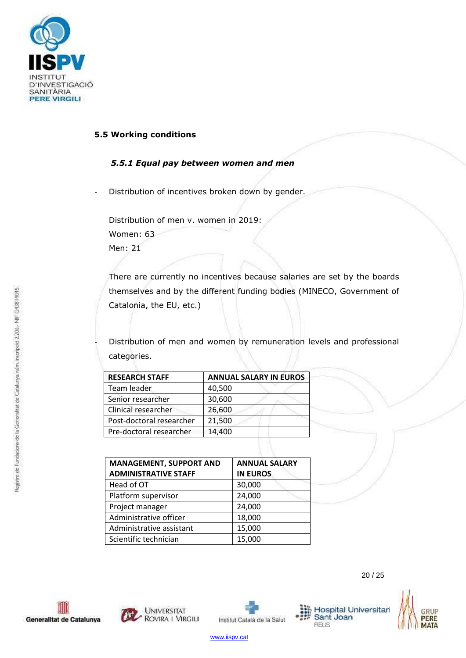

#### **5.5 Working conditions**

#### *5.5.1 Equal pay between women and men*

Distribution of incentives broken down by gender.

Distribution of men v. women in 2019: Women: 63 Men: 21

There are currently no incentives because salaries are set by the boards themselves and by the different funding bodies (MINECO, Government of Catalonia, the EU, etc.)

Distribution of men and women by remuneration levels and professional categories.

| <b>RESEARCH STAFF</b>    | <b>ANNUAL SALARY IN EUROS</b> |
|--------------------------|-------------------------------|
| Team leader              | 40,500                        |
| Senior researcher        | 30,600                        |
| Clinical researcher      | 26,600                        |
| Post-doctoral researcher | 21,500                        |
| Pre-doctoral researcher  | 14,400                        |

| <b>MANAGEMENT, SUPPORT AND</b><br><b>ADMINISTRATIVE STAFF</b> | <b>ANNUAL SALARY</b><br><b>IN EUROS</b> |
|---------------------------------------------------------------|-----------------------------------------|
| Head of OT                                                    | 30,000                                  |
| Platform supervisor                                           | 24,000                                  |
| Project manager                                               | 24,000                                  |
| Administrative officer                                        | 18,000                                  |
| Administrative assistant                                      | 15,000                                  |
| Scientific technician                                         | 15,000                                  |









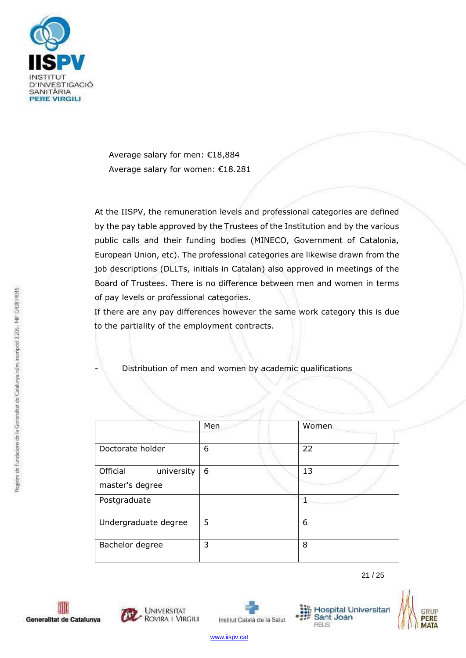

Average salary for men: €18,884 Average salary for women: €18.281

At the IISPV, the remuneration levels and professional categories are defined by the pay table approved by the Trustees of the Institution and by the various public calls and their funding bodies (MINECO, Government of Catalonia, European Union, etc). The professional categories are likewise drawn from the job descriptions (DLLTs, initials in Catalan) also approved in meetings of the Board of Trustees. There is no difference between men and women in terms of pay levels or professional categories.

If there are any pay differences however the same work category this is due to the partiality of the employment contracts.

Distribution of men and women by academic qualifications

|                             |            | Men | Women |
|-----------------------------|------------|-----|-------|
| Doctorate holder            |            | 6   | 22    |
| Official<br>master's degree | university | 6   | 13    |
| Postgraduate                |            |     |       |
| Undergraduate degree        |            | 5   | 6     |
| Bachelor degree             |            | 3   | 8     |



**Hospital Universitar** 

Sant Joan

**REUS** 



Registre de Fundacions de la Generalitat de Catalunya núm. inscripció 2.206, NIF G43814045

OIII Generalitat de Catalunya



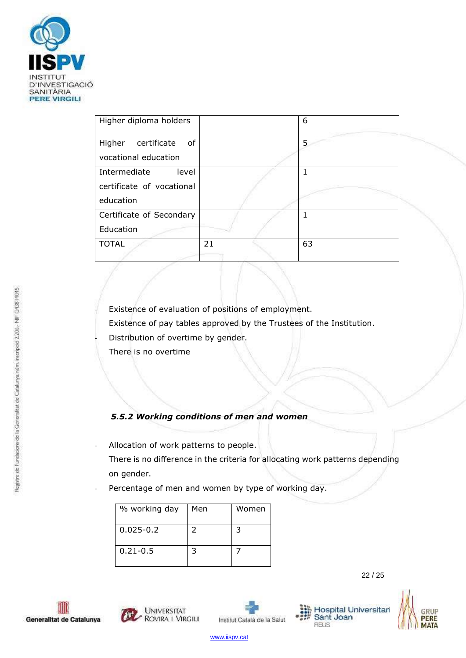

| Higher diploma holders      |    | 6  |
|-----------------------------|----|----|
| Higher<br>certificate<br>of |    | 5  |
| vocational education        |    |    |
| Intermediate<br>level       |    | 1  |
| certificate of vocational   |    |    |
| education                   |    |    |
| Certificate of Secondary    |    |    |
| Education                   |    |    |
| <b>TOTAL</b>                | 21 | 63 |
|                             |    |    |

Existence of evaluation of positions of employment. Existence of pay tables approved by the Trustees of the Institution. Distribution of overtime by gender. There is no overtime

# *5.5.2 Working conditions of men and women*

- Allocation of work patterns to people. There is no difference in the criteria for allocating work patterns depending on gender.
- Percentage of men and women by type of working day.

| % working day | Men | Women |
|---------------|-----|-------|
| $0.025 - 0.2$ | 2   | 3     |
| $0.21 - 0.5$  | 3   |       |

OIII Generalitat de Catalunya







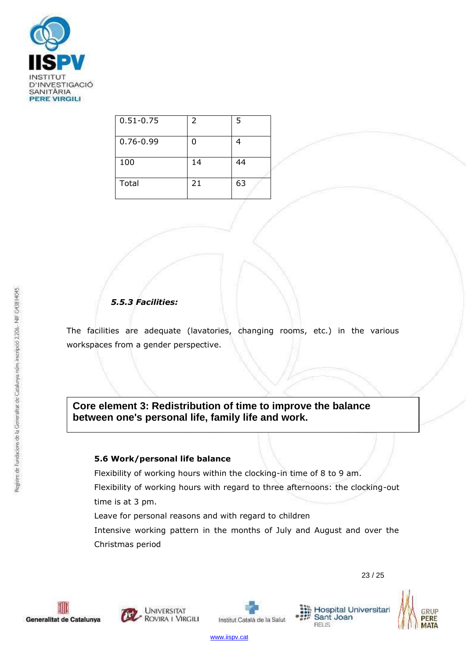

| $0.51 - 0.75$ | 2  | 5  |
|---------------|----|----|
| $0.76 - 0.99$ |    |    |
|               |    |    |
| 100           | 14 | 44 |
| Total         | 21 | 63 |
|               |    |    |

# *5.5.3 Facilities:*

The facilities are adequate (lavatories, changing rooms, etc.) in the various workspaces from a gender perspective.

**Core element 3: Redistribution of time to improve the balance between one's personal life, family life and work.**

#### **5.6 Work/personal life balance**

Flexibility of working hours within the clocking-in time of 8 to 9 am. Flexibility of working hours with regard to three afternoons: the clocking-out time is at 3 pm.

Leave for personal reasons and with regard to children

Intensive working pattern in the months of July and August and over the Christmas period

23 / 25



**UNIVERSITAT ROVIRA I VIRGILI** 





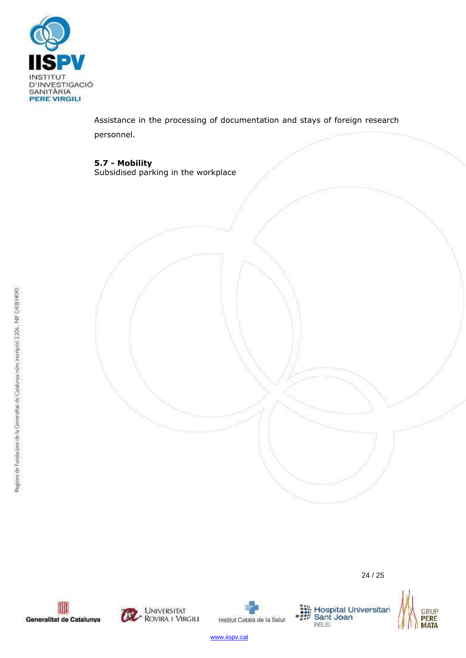

Assistance in the processing of documentation and stays of foreign research personnel.

**5.7 - Mobility**  Subsidised parking in the workplace











24 / 25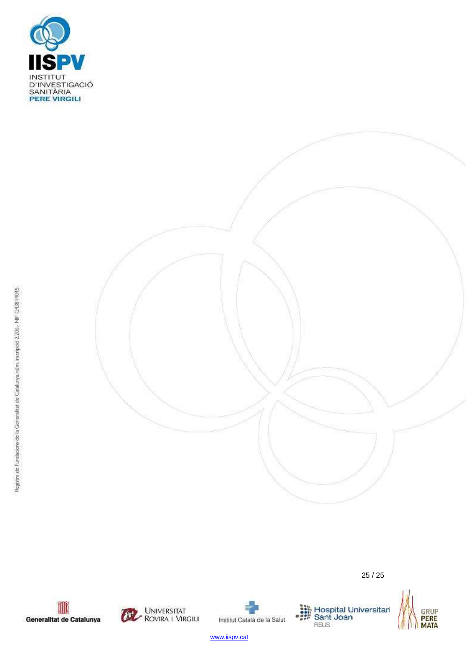













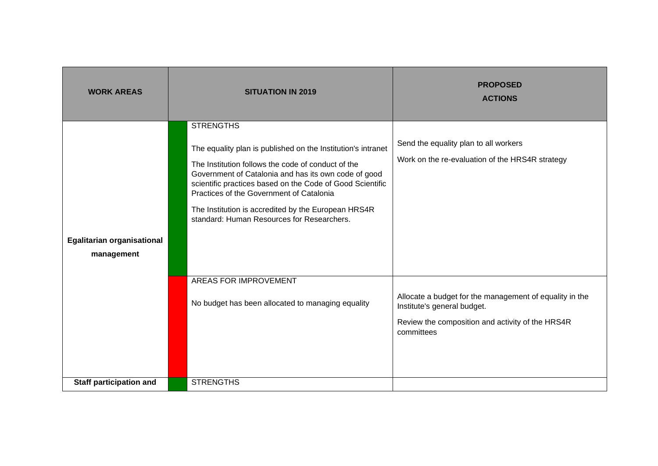| <b>WORK AREAS</b>                               | <b>SITUATION IN 2019</b>                                                                                                                                                                                                                                                                                                                                                                                                                                                                   | <b>PROPOSED</b><br><b>ACTIONS</b>                                                                                                                                                                                                                    |
|-------------------------------------------------|--------------------------------------------------------------------------------------------------------------------------------------------------------------------------------------------------------------------------------------------------------------------------------------------------------------------------------------------------------------------------------------------------------------------------------------------------------------------------------------------|------------------------------------------------------------------------------------------------------------------------------------------------------------------------------------------------------------------------------------------------------|
| <b>Egalitarian organisational</b><br>management | <b>STRENGTHS</b><br>The equality plan is published on the Institution's intranet<br>The Institution follows the code of conduct of the<br>Government of Catalonia and has its own code of good<br>scientific practices based on the Code of Good Scientific<br>Practices of the Government of Catalonia<br>The Institution is accredited by the European HRS4R<br>standard: Human Resources for Researchers.<br>AREAS FOR IMPROVEMENT<br>No budget has been allocated to managing equality | Send the equality plan to all workers<br>Work on the re-evaluation of the HRS4R strategy<br>Allocate a budget for the management of equality in the<br>Institute's general budget.<br>Review the composition and activity of the HRS4R<br>committees |
| <b>Staff participation and</b>                  | <b>STRENGTHS</b>                                                                                                                                                                                                                                                                                                                                                                                                                                                                           |                                                                                                                                                                                                                                                      |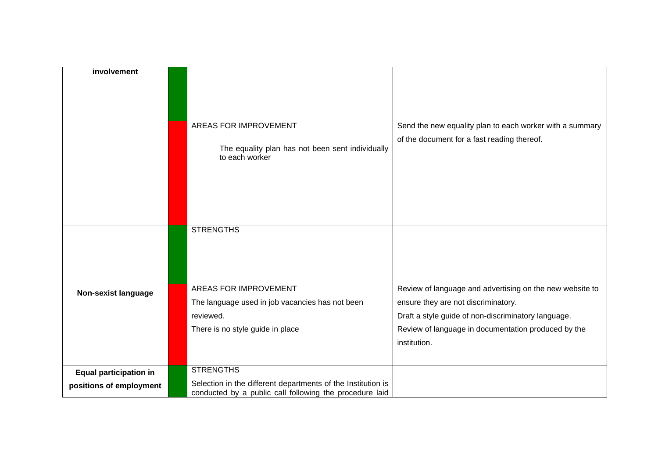| involvement                   |                                                                    |                                                          |
|-------------------------------|--------------------------------------------------------------------|----------------------------------------------------------|
|                               |                                                                    |                                                          |
|                               |                                                                    |                                                          |
|                               |                                                                    |                                                          |
|                               |                                                                    |                                                          |
|                               | AREAS FOR IMPROVEMENT                                              |                                                          |
|                               |                                                                    | Send the new equality plan to each worker with a summary |
|                               | The equality plan has not been sent individually<br>to each worker | of the document for a fast reading thereof.              |
|                               |                                                                    |                                                          |
|                               |                                                                    |                                                          |
|                               |                                                                    |                                                          |
|                               |                                                                    |                                                          |
|                               |                                                                    |                                                          |
|                               | <b>STRENGTHS</b>                                                   |                                                          |
|                               |                                                                    |                                                          |
|                               |                                                                    |                                                          |
|                               |                                                                    |                                                          |
|                               |                                                                    |                                                          |
| <b>Non-sexist language</b>    | <b>AREAS FOR IMPROVEMENT</b>                                       | Review of language and advertising on the new website to |
|                               | The language used in job vacancies has not been                    | ensure they are not discriminatory.                      |
|                               | reviewed.                                                          | Draft a style guide of non-discriminatory language.      |
|                               | There is no style guide in place                                   | Review of language in documentation produced by the      |
|                               |                                                                    | institution.                                             |
|                               |                                                                    |                                                          |
|                               |                                                                    |                                                          |
| <b>Equal participation in</b> | <b>STRENGTHS</b>                                                   |                                                          |
| positions of employment       | Selection in the different departments of the Institution is       |                                                          |
|                               | conducted by a public call following the procedure laid            |                                                          |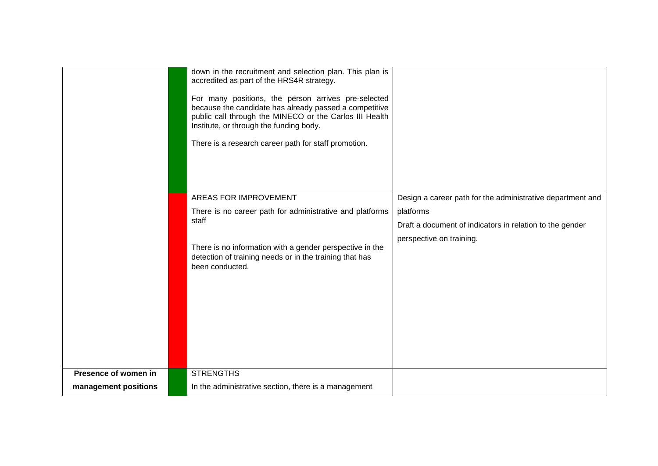|                      | down in the recruitment and selection plan. This plan is<br>accredited as part of the HRS4R strategy.<br>For many positions, the person arrives pre-selected<br>because the candidate has already passed a competitive<br>public call through the MINECO or the Carlos III Health<br>Institute, or through the funding body.<br>There is a research career path for staff promotion. |                                                            |
|----------------------|--------------------------------------------------------------------------------------------------------------------------------------------------------------------------------------------------------------------------------------------------------------------------------------------------------------------------------------------------------------------------------------|------------------------------------------------------------|
|                      | AREAS FOR IMPROVEMENT                                                                                                                                                                                                                                                                                                                                                                | Design a career path for the administrative department and |
|                      | There is no career path for administrative and platforms                                                                                                                                                                                                                                                                                                                             | platforms                                                  |
|                      | staff                                                                                                                                                                                                                                                                                                                                                                                | Draft a document of indicators in relation to the gender   |
|                      | There is no information with a gender perspective in the<br>detection of training needs or in the training that has<br>been conducted.                                                                                                                                                                                                                                               | perspective on training.                                   |
| Presence of women in | <b>STRENGTHS</b>                                                                                                                                                                                                                                                                                                                                                                     |                                                            |
| management positions | In the administrative section, there is a management                                                                                                                                                                                                                                                                                                                                 |                                                            |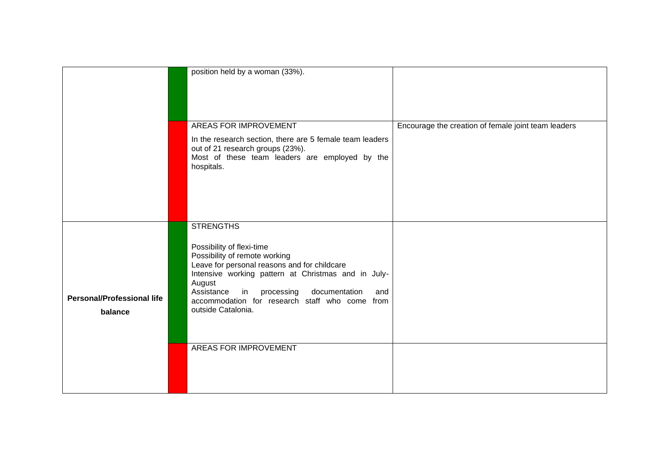|                                              | position held by a woman (33%).                                                                                                                                                                                                                                                                                                |                                                     |
|----------------------------------------------|--------------------------------------------------------------------------------------------------------------------------------------------------------------------------------------------------------------------------------------------------------------------------------------------------------------------------------|-----------------------------------------------------|
|                                              | <b>AREAS FOR IMPROVEMENT</b><br>In the research section, there are 5 female team leaders<br>out of 21 research groups (23%).<br>Most of these team leaders are employed by the<br>hospitals.                                                                                                                                   | Encourage the creation of female joint team leaders |
| <b>Personal/Professional life</b><br>balance | <b>STRENGTHS</b><br>Possibility of flexi-time<br>Possibility of remote working<br>Leave for personal reasons and for childcare<br>Intensive working pattern at Christmas and in July-<br>August<br>in processing<br>Assistance<br>documentation<br>and<br>accommodation for research staff who come from<br>outside Catalonia. |                                                     |
|                                              | <b>AREAS FOR IMPROVEMENT</b>                                                                                                                                                                                                                                                                                                   |                                                     |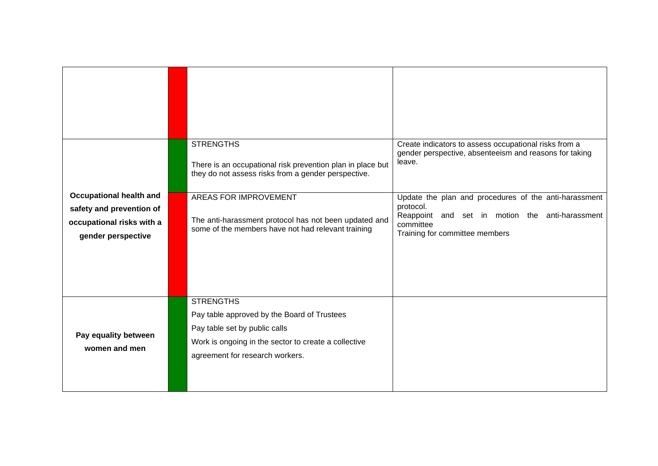| <b>Occupational health and</b><br>safety and prevention of | <b>STRENGTHS</b><br>There is an occupational risk prevention plan in place but<br>they do not assess risks from a gender perspective.<br>AREAS FOR IMPROVEMENT                              | Create indicators to assess occupational risks from a<br>gender perspective, absenteeism and reasons for taking<br>leave.<br>Update the plan and procedures of the anti-harassment<br>protocol. |
|------------------------------------------------------------|---------------------------------------------------------------------------------------------------------------------------------------------------------------------------------------------|-------------------------------------------------------------------------------------------------------------------------------------------------------------------------------------------------|
| occupational risks with a<br>gender perspective            | The anti-harassment protocol has not been updated and<br>some of the members have not had relevant training                                                                                 | Reappoint and set in motion the anti-harassment<br>committee<br>Training for committee members                                                                                                  |
| Pay equality between<br>women and men                      | <b>STRENGTHS</b><br>Pay table approved by the Board of Trustees<br>Pay table set by public calls<br>Work is ongoing in the sector to create a collective<br>agreement for research workers. |                                                                                                                                                                                                 |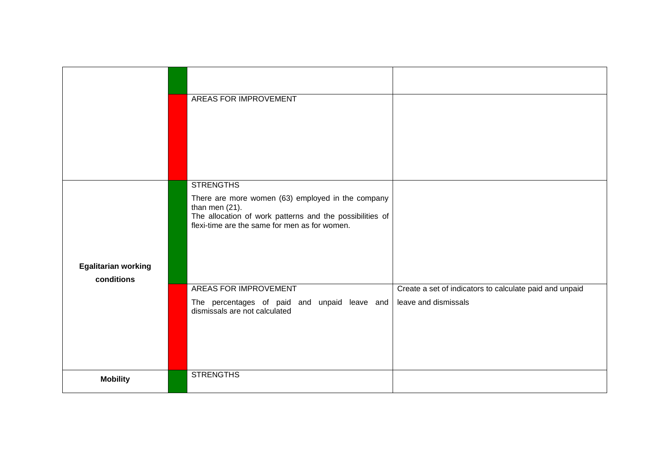|                            | AREAS FOR IMPROVEMENT                                                         |                                                         |
|----------------------------|-------------------------------------------------------------------------------|---------------------------------------------------------|
|                            |                                                                               |                                                         |
|                            |                                                                               |                                                         |
|                            |                                                                               |                                                         |
|                            |                                                                               |                                                         |
|                            |                                                                               |                                                         |
|                            |                                                                               |                                                         |
|                            |                                                                               |                                                         |
|                            | <b>STRENGTHS</b>                                                              |                                                         |
|                            | There are more women (63) employed in the company                             |                                                         |
|                            | than men $(21)$ .                                                             |                                                         |
|                            | The allocation of work patterns and the possibilities of                      |                                                         |
|                            | flexi-time are the same for men as for women.                                 |                                                         |
|                            |                                                                               |                                                         |
|                            |                                                                               |                                                         |
| <b>Egalitarian working</b> |                                                                               |                                                         |
|                            |                                                                               |                                                         |
| conditions                 | AREAS FOR IMPROVEMENT                                                         |                                                         |
|                            |                                                                               | Create a set of indicators to calculate paid and unpaid |
|                            | The percentages of paid and unpaid leave and<br>dismissals are not calculated | leave and dismissals                                    |
|                            |                                                                               |                                                         |
|                            |                                                                               |                                                         |
|                            |                                                                               |                                                         |
|                            |                                                                               |                                                         |
|                            |                                                                               |                                                         |
|                            | <b>STRENGTHS</b>                                                              |                                                         |
| <b>Mobility</b>            |                                                                               |                                                         |
|                            |                                                                               |                                                         |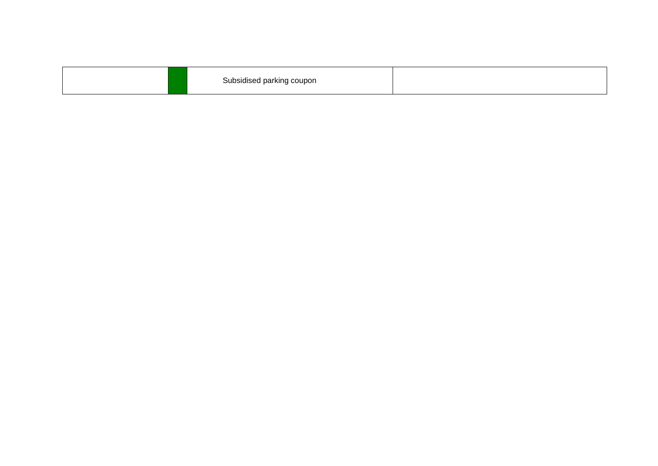| Subsidised<br>coupon<br>. parking<br>$\sim$ |  |  |
|---------------------------------------------|--|--|
|---------------------------------------------|--|--|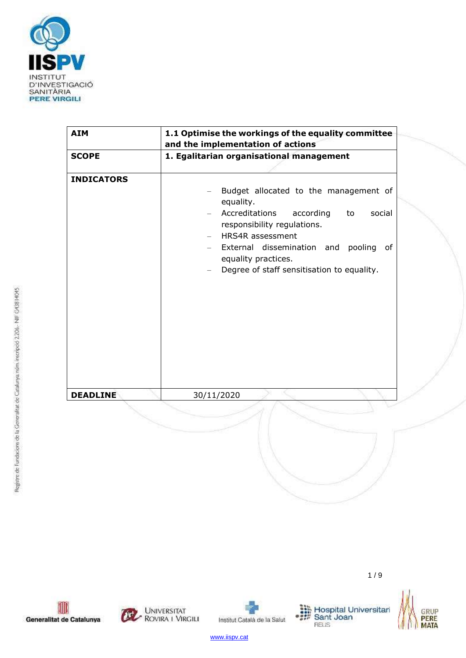

| <b>AIM</b>        | 1.1 Optimise the workings of the equality committee<br>and the implementation of actions                                                                                                                                                                              |
|-------------------|-----------------------------------------------------------------------------------------------------------------------------------------------------------------------------------------------------------------------------------------------------------------------|
| <b>SCOPE</b>      | 1. Egalitarian organisational management                                                                                                                                                                                                                              |
| <b>INDICATORS</b> | Budget allocated to the management of<br>equality.<br>Accreditations<br>according<br>social<br>to<br>responsibility regulations.<br>HRS4R assessment<br>External dissemination and pooling<br>of<br>equality practices.<br>Degree of staff sensitisation to equality. |
| <b>DEADLINE</b>   | 30/11/2020                                                                                                                                                                                                                                                            |
|                   |                                                                                                                                                                                                                                                                       |









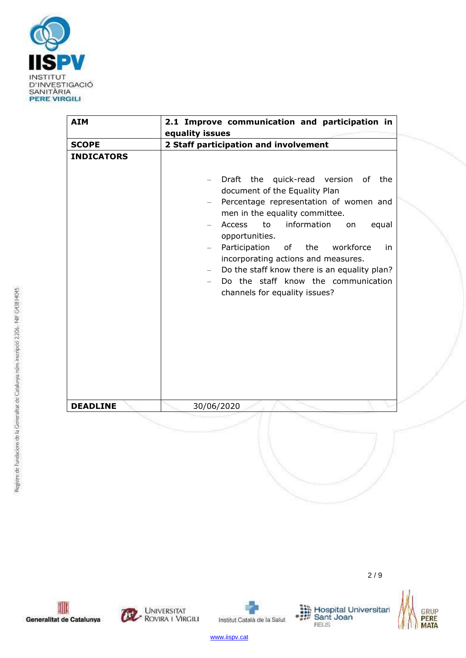

| <b>AIM</b>        | 2.1 Improve communication and participation in<br>equality issues                                                                                                                                                                                                                                                                                                                                                                             |
|-------------------|-----------------------------------------------------------------------------------------------------------------------------------------------------------------------------------------------------------------------------------------------------------------------------------------------------------------------------------------------------------------------------------------------------------------------------------------------|
| <b>SCOPE</b>      | 2 Staff participation and involvement                                                                                                                                                                                                                                                                                                                                                                                                         |
| <b>INDICATORS</b> | quick-read version of the<br>Draft<br>the<br>document of the Equality Plan<br>Percentage representation of women and<br>men in the equality committee.<br>information<br><b>Access</b><br>to<br>equal<br>on<br>opportunities.<br>Participation<br>of<br>the<br>workforce<br>in<br>incorporating actions and measures.<br>Do the staff know there is an equality plan?<br>Do the staff know the communication<br>channels for equality issues? |
| <b>DEADLINE</b>   | 30/06/2020                                                                                                                                                                                                                                                                                                                                                                                                                                    |
|                   |                                                                                                                                                                                                                                                                                                                                                                                                                                               |









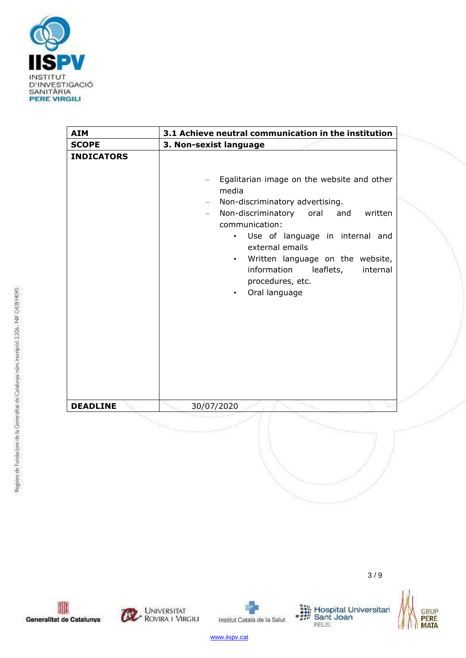

| <b>SCOPE</b>      | 3. Non-sexist language                                                                                                                                                                                                                                                                                                                                 |
|-------------------|--------------------------------------------------------------------------------------------------------------------------------------------------------------------------------------------------------------------------------------------------------------------------------------------------------------------------------------------------------|
|                   |                                                                                                                                                                                                                                                                                                                                                        |
| <b>INDICATORS</b> | Egalitarian image on the website and other<br>media<br>Non-discriminatory advertising.<br>Non-discriminatory oral<br>and<br>written<br>communication:<br>Use of language in internal and<br>external emails<br>Written language on the website,<br>$\bullet$<br>information<br>internal<br>leaflets,<br>procedures, etc.<br>Oral language<br>$\bullet$ |
| <b>DEADLINE</b>   | 30/07/2020                                                                                                                                                                                                                                                                                                                                             |









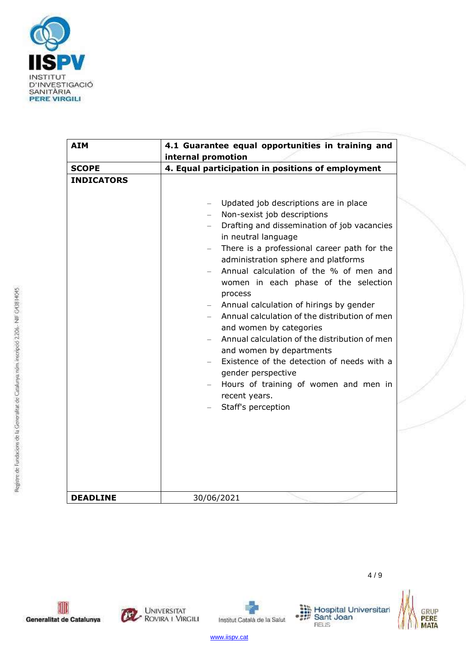

| <b>AIM</b>        | 4.1 Guarantee equal opportunities in training and                                                                                                                                                                                                                                                                                                                                                                                                                                                                                                                                                                                                                                                                 |
|-------------------|-------------------------------------------------------------------------------------------------------------------------------------------------------------------------------------------------------------------------------------------------------------------------------------------------------------------------------------------------------------------------------------------------------------------------------------------------------------------------------------------------------------------------------------------------------------------------------------------------------------------------------------------------------------------------------------------------------------------|
|                   | internal promotion                                                                                                                                                                                                                                                                                                                                                                                                                                                                                                                                                                                                                                                                                                |
| <b>SCOPE</b>      | 4. Equal participation in positions of employment                                                                                                                                                                                                                                                                                                                                                                                                                                                                                                                                                                                                                                                                 |
| <b>INDICATORS</b> | Updated job descriptions are in place<br>Non-sexist job descriptions<br>Drafting and dissemination of job vacancies<br>$\overline{\phantom{0}}$<br>in neutral language<br>There is a professional career path for the<br>administration sphere and platforms<br>Annual calculation of the % of men and<br>women in each phase of the selection<br>process<br>Annual calculation of hirings by gender<br>Annual calculation of the distribution of men<br>and women by categories<br>Annual calculation of the distribution of men<br>and women by departments<br>Existence of the detection of needs with a<br>gender perspective<br>Hours of training of women and men in<br>recent years.<br>Staff's perception |
| <b>DEADLINE</b>   | 30/06/2021                                                                                                                                                                                                                                                                                                                                                                                                                                                                                                                                                                                                                                                                                                        |









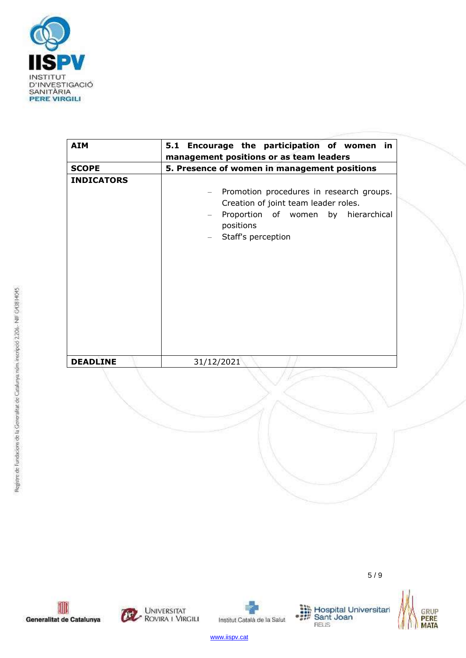

| <b>AIM</b>        | 5.1 Encourage the participation of women<br>in<br>management positions or as team leaders                                                                  |
|-------------------|------------------------------------------------------------------------------------------------------------------------------------------------------------|
| <b>SCOPE</b>      | 5. Presence of women in management positions                                                                                                               |
| <b>INDICATORS</b> | Promotion procedures in research groups.<br>Creation of joint team leader roles.<br>Proportion of women by hierarchical<br>positions<br>Staff's perception |
| <b>DEADLINE</b>   | 31/12/2021                                                                                                                                                 |
|                   |                                                                                                                                                            |









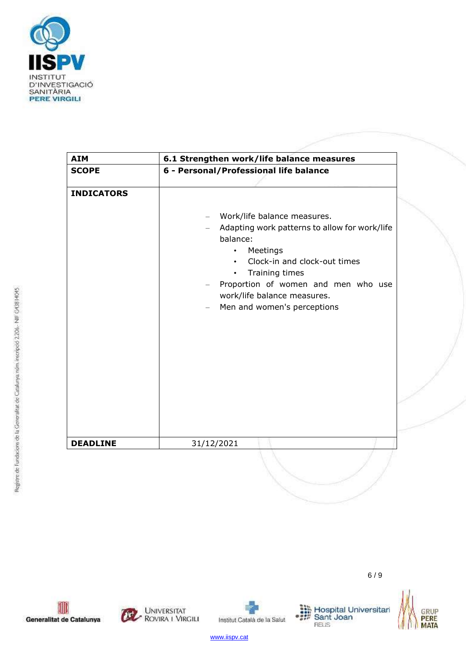

| <b>AIM</b>        | 6.1 Strengthen work/life balance measures                                                                                                                                                                                                                                                          |
|-------------------|----------------------------------------------------------------------------------------------------------------------------------------------------------------------------------------------------------------------------------------------------------------------------------------------------|
| <b>SCOPE</b>      | 6 - Personal/Professional life balance                                                                                                                                                                                                                                                             |
|                   |                                                                                                                                                                                                                                                                                                    |
| <b>INDICATORS</b> | Work/life balance measures.<br>Adapting work patterns to allow for work/life<br>balance:<br>Meetings<br>$\bullet$<br>Clock-in and clock-out times<br>$\bullet$<br>Training times<br>$\bullet$<br>Proportion of women and men who use<br>work/life balance measures.<br>Men and women's perceptions |
| <b>DEADLINE</b>   | 31/12/2021                                                                                                                                                                                                                                                                                         |









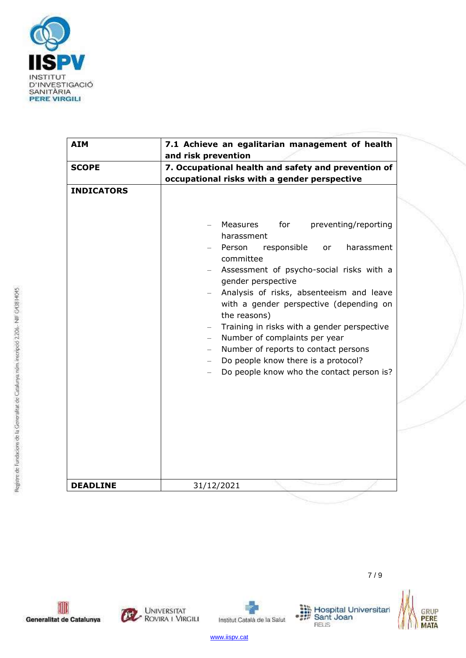

| <b>AIM</b>        | 7.1 Achieve an egalitarian management of health<br>and risk prevention                                                                                                                                                                                                                                                                                                                                                                                                                                                                                                                   |
|-------------------|------------------------------------------------------------------------------------------------------------------------------------------------------------------------------------------------------------------------------------------------------------------------------------------------------------------------------------------------------------------------------------------------------------------------------------------------------------------------------------------------------------------------------------------------------------------------------------------|
| <b>SCOPE</b>      | 7. Occupational health and safety and prevention of<br>occupational risks with a gender perspective                                                                                                                                                                                                                                                                                                                                                                                                                                                                                      |
| <b>INDICATORS</b> | preventing/reporting<br>Measures<br>for<br>harassment<br>responsible<br>harassment<br>Person<br>or<br>committee<br>Assessment of psycho-social risks with a<br>gender perspective<br>Analysis of risks, absenteeism and leave<br>with a gender perspective (depending on<br>the reasons)<br>Training in risks with a gender perspective<br>Number of complaints per year<br>$\overline{\phantom{0}}$<br>Number of reports to contact persons<br>$\overline{\phantom{0}}$<br>Do people know there is a protocol?<br>$\overline{\phantom{0}}$<br>Do people know who the contact person is? |
| <b>DEADLINE</b>   | 31/12/2021                                                                                                                                                                                                                                                                                                                                                                                                                                                                                                                                                                               |









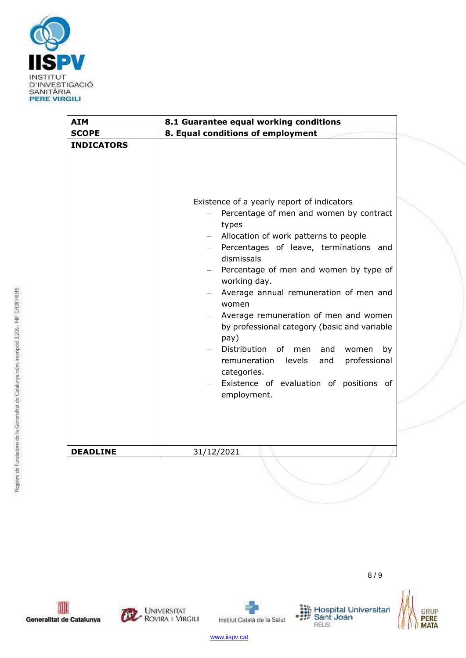

| <b>AIM</b>        | 8.1 Guarantee equal working conditions                                                                                                                                                                                                                                                                                                                                                                                                                                                                                   |
|-------------------|--------------------------------------------------------------------------------------------------------------------------------------------------------------------------------------------------------------------------------------------------------------------------------------------------------------------------------------------------------------------------------------------------------------------------------------------------------------------------------------------------------------------------|
| <b>SCOPE</b>      | 8. Equal conditions of employment                                                                                                                                                                                                                                                                                                                                                                                                                                                                                        |
| <b>INDICATORS</b> | Existence of a yearly report of indicators<br>Percentage of men and women by contract<br>types<br>Allocation of work patterns to people<br>Percentages of leave, terminations and<br>dismissals<br>Percentage of men and women by type of<br>working day.<br>Average annual remuneration of men and<br>women<br>Average remuneration of men and women<br>by professional category (basic and variable<br>pay)<br><b>Distribution</b><br>of<br>men<br>and<br>women<br>by<br>levels<br>professional<br>remuneration<br>and |
|                   | categories.<br>Existence of evaluation of positions of<br>employment.                                                                                                                                                                                                                                                                                                                                                                                                                                                    |
|                   |                                                                                                                                                                                                                                                                                                                                                                                                                                                                                                                          |
| <b>DEADLINE</b>   | 31/12/2021                                                                                                                                                                                                                                                                                                                                                                                                                                                                                                               |









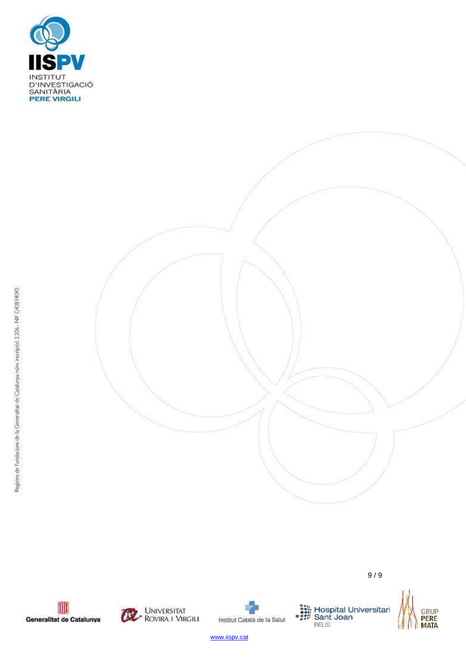





0 Generalitat de Catalunya



Institut Català de la Salut



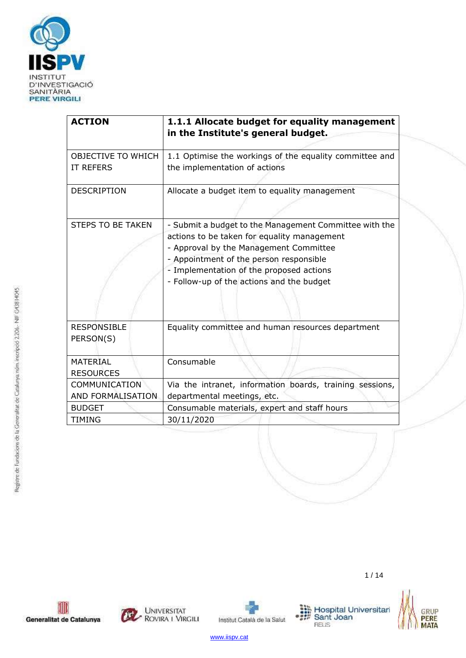

| <b>ACTION</b>                          | 1.1.1 Allocate budget for equality management<br>in the Institute's general budget.                                                                                                                                                                                                 |
|----------------------------------------|-------------------------------------------------------------------------------------------------------------------------------------------------------------------------------------------------------------------------------------------------------------------------------------|
| <b>OBJECTIVE TO WHICH</b><br>IT REFERS | 1.1 Optimise the workings of the equality committee and<br>the implementation of actions                                                                                                                                                                                            |
| DESCRIPTION                            | Allocate a budget item to equality management                                                                                                                                                                                                                                       |
| <b>STEPS TO BE TAKEN</b>               | - Submit a budget to the Management Committee with the<br>actions to be taken for equality management<br>- Approval by the Management Committee<br>- Appointment of the person responsible<br>- Implementation of the proposed actions<br>- Follow-up of the actions and the budget |
| <b>RESPONSIBLE</b><br>PERSON(S)        | Equality committee and human resources department                                                                                                                                                                                                                                   |
| <b>MATERIAL</b><br><b>RESOURCES</b>    | Consumable                                                                                                                                                                                                                                                                          |
| COMMUNICATION<br>AND FORMALISATION     | Via the intranet, information boards, training sessions,<br>departmental meetings, etc.                                                                                                                                                                                             |
| <b>BUDGET</b>                          | Consumable materials, expert and staff hours                                                                                                                                                                                                                                        |
| <b>TIMING</b>                          | 30/11/2020                                                                                                                                                                                                                                                                          |









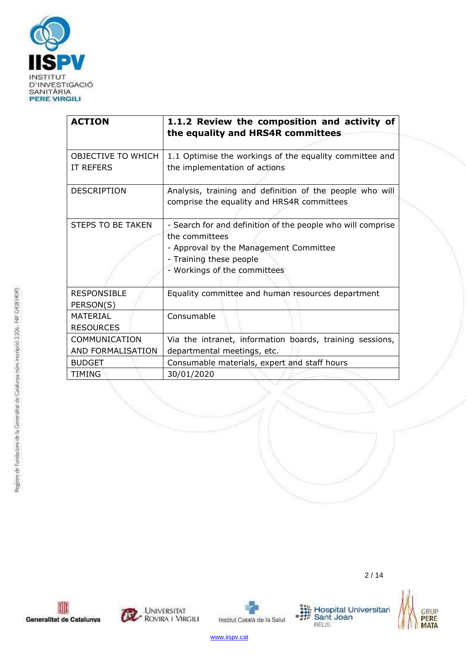

| <b>ACTION</b>                                 | 1.1.2 Review the composition and activity of<br>the equality and HRS4R committees                                                                                                  |
|-----------------------------------------------|------------------------------------------------------------------------------------------------------------------------------------------------------------------------------------|
| <b>OBJECTIVE TO WHICH</b><br><b>IT REFERS</b> | 1.1 Optimise the workings of the equality committee and<br>the implementation of actions                                                                                           |
| <b>DESCRIPTION</b>                            | Analysis, training and definition of the people who will<br>comprise the equality and HRS4R committees                                                                             |
| STEPS TO BE TAKEN                             | - Search for and definition of the people who will comprise<br>the committees<br>- Approval by the Management Committee<br>- Training these people<br>- Workings of the committees |
| <b>RESPONSIBLE</b><br>PERSON(S)               | Equality committee and human resources department                                                                                                                                  |
| MATFRIAL<br><b>RESOURCES</b>                  | Consumable                                                                                                                                                                         |
| COMMUNICATION<br>AND FORMALISATION            | Via the intranet, information boards, training sessions,<br>departmental meetings, etc.                                                                                            |
| <b>BUDGET</b>                                 | Consumable materials, expert and staff hours                                                                                                                                       |
| <b>TIMING</b>                                 | 30/01/2020                                                                                                                                                                         |









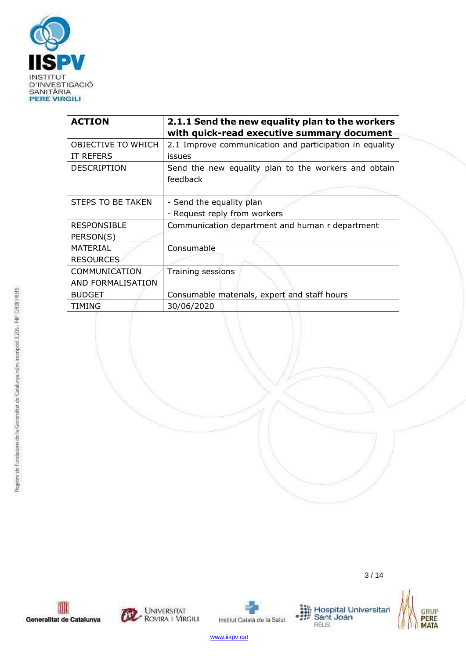

| <b>ACTION</b>             | 2.1.1 Send the new equality plan to the workers<br>with quick-read executive summary document |
|---------------------------|-----------------------------------------------------------------------------------------------|
| <b>OBJECTIVE TO WHICH</b> | 2.1 Improve communication and participation in equality                                       |
| IT REFERS                 | issues                                                                                        |
| <b>DESCRIPTION</b>        | Send the new equality plan to the workers and obtain                                          |
|                           | feedback                                                                                      |
|                           |                                                                                               |
| STEPS TO BE TAKEN         | - Send the equality plan                                                                      |
|                           | - Request reply from workers                                                                  |
| <b>RESPONSIBLE</b>        | Communication department and human r department                                               |
| PERSON(S)                 |                                                                                               |
| MATERIAL                  | Consumable                                                                                    |
| <b>RESOURCES</b>          |                                                                                               |
| COMMUNICATION             | Training sessions                                                                             |
| AND FORMALISATION         |                                                                                               |
| <b>BUDGET</b>             | Consumable materials, expert and staff hours                                                  |
| TIMING                    | 30/06/2020                                                                                    |
|                           |                                                                                               |

0 Generalitat de Catalunya





3 / 14



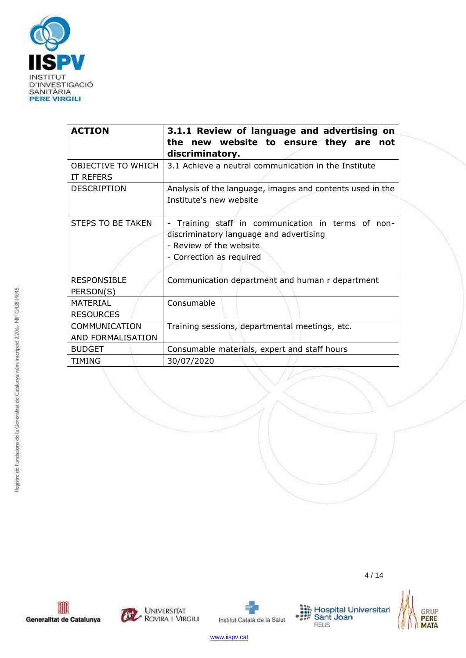

| <b>ACTION</b>                             | 3.1.1 Review of language and advertising on                                                                                                        |
|-------------------------------------------|----------------------------------------------------------------------------------------------------------------------------------------------------|
|                                           | the new website to ensure they are<br>not<br>discriminatory.                                                                                       |
| <b>OBJECTIVE TO WHICH</b><br>IT REFERS    | 3.1 Achieve a neutral communication in the Institute                                                                                               |
| <b>DESCRIPTION</b>                        | Analysis of the language, images and contents used in the<br>Institute's new website                                                               |
| <b>STEPS TO BE TAKEN</b>                  | Training staff in communication in terms of non-<br>discriminatory language and advertising<br>- Review of the website<br>- Correction as required |
| <b>RESPONSIBLE</b><br>PERSON(S)           | Communication department and human r department                                                                                                    |
| MATERIAL<br><b>RESOURCES</b>              | Consumable                                                                                                                                         |
| <b>COMMUNICATION</b><br>AND FORMALISATION | Training sessions, departmental meetings, etc.                                                                                                     |
| <b>BUDGET</b>                             | Consumable materials, expert and staff hours                                                                                                       |
| TIMING                                    | 30/07/2020                                                                                                                                         |

Registre de Fundacions de la Giorreralitat de Catalunya núm, inscripció 2.206, NIF G43814045.











4 / 14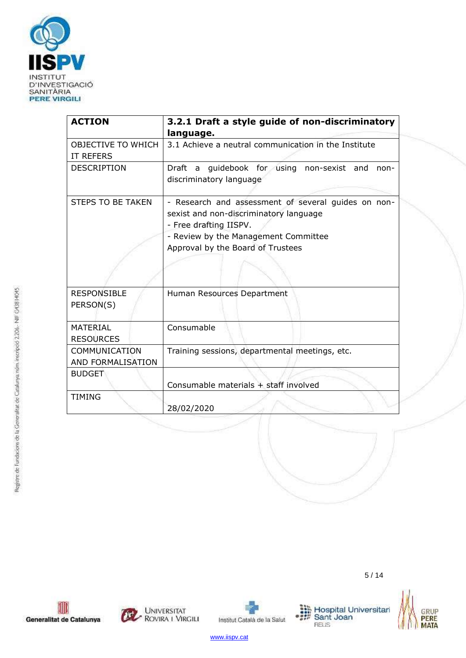

| <b>ACTION</b>                                 | 3.2.1 Draft a style guide of non-discriminatory<br>language.                                                                                                                                         |
|-----------------------------------------------|------------------------------------------------------------------------------------------------------------------------------------------------------------------------------------------------------|
| <b>OBJECTIVE TO WHICH</b><br><b>IT REFERS</b> | 3.1 Achieve a neutral communication in the Institute                                                                                                                                                 |
| <b>DESCRIPTION</b>                            | Draft a guidebook for using non-sexist and<br>$non-$<br>discriminatory language                                                                                                                      |
| <b>STEPS TO BE TAKEN</b>                      | - Research and assessment of several guides on non-<br>sexist and non-discriminatory language<br>- Free drafting IISPV.<br>- Review by the Management Committee<br>Approval by the Board of Trustees |
| <b>RESPONSIBLE</b><br>PERSON(S)               | Human Resources Department                                                                                                                                                                           |
| MATERIAL<br><b>RESOURCES</b>                  | Consumable                                                                                                                                                                                           |
| COMMUNICATION<br>AND FORMALISATION            | Training sessions, departmental meetings, etc.                                                                                                                                                       |
| <b>BUDGET</b>                                 | Consumable materials + staff involved                                                                                                                                                                |
| TIMING                                        | 28/02/2020                                                                                                                                                                                           |

0 Generalitat de Catalunya









5 / 14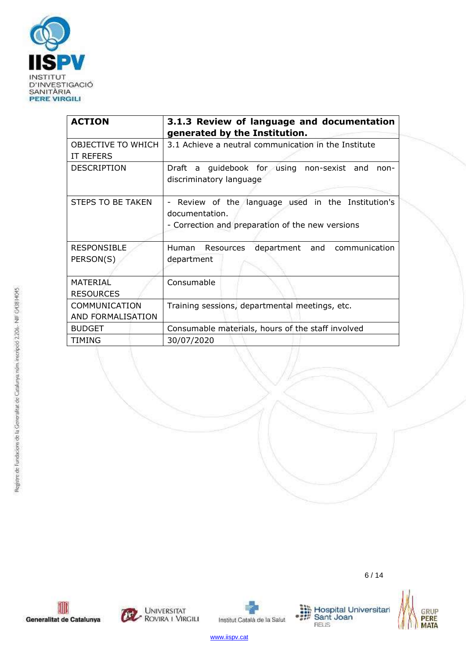

| <b>ACTION</b>             | 3.1.3 Review of language and documentation<br>generated by the Institution.  |
|---------------------------|------------------------------------------------------------------------------|
| <b>OBJECTIVE TO WHICH</b> | 3.1 Achieve a neutral communication in the Institute                         |
| IT REFERS                 |                                                                              |
| <b>DESCRIPTION</b>        | guidebook for using non-sexist and<br>Draft a<br>$non-$                      |
|                           | discriminatory language                                                      |
|                           |                                                                              |
| STEPS TO BE TAKEN         | Review of the language used in the Institution's<br>$\overline{\phantom{a}}$ |
|                           | documentation.                                                               |
|                           | - Correction and preparation of the new versions                             |
|                           |                                                                              |
| <b>RESPONSIBLE</b>        | Human<br>department<br>Resources<br>and<br>communication                     |
| PERSON(S)                 | department                                                                   |
|                           |                                                                              |
| MATERIAL                  | Consumable                                                                   |
| <b>RESOURCES</b>          |                                                                              |
| COMMUNICATION             | Training sessions, departmental meetings, etc.                               |
| AND FORMALISATION         |                                                                              |
| <b>BUDGET</b>             | Consumable materials, hours of the staff involved                            |
| TIMING                    | 30/07/2020                                                                   |









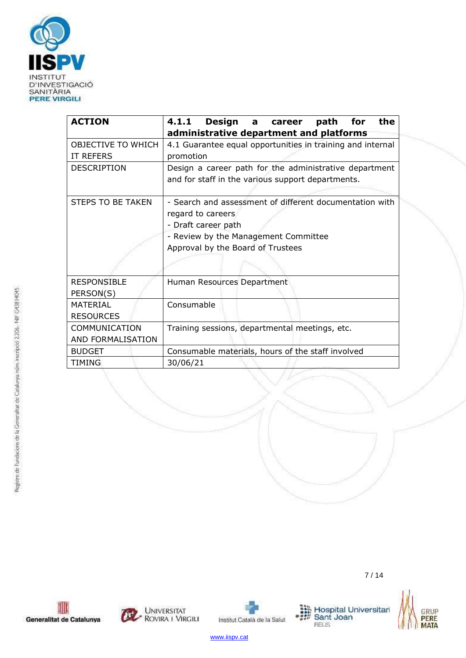

| <b>ACTION</b>                          | Design a<br>4.1.1<br>path<br>the<br>for<br>career<br>administrative department and platforms                                                                                     |
|----------------------------------------|----------------------------------------------------------------------------------------------------------------------------------------------------------------------------------|
| <b>OBJECTIVE TO WHICH</b><br>IT REFERS | 4.1 Guarantee equal opportunities in training and internal<br>promotion                                                                                                          |
| <b>DESCRIPTION</b>                     | Design a career path for the administrative department<br>and for staff in the various support departments.                                                                      |
| <b>STEPS TO BE TAKEN</b>               | - Search and assessment of different documentation with<br>regard to careers<br>- Draft career path<br>- Review by the Management Committee<br>Approval by the Board of Trustees |
| <b>RESPONSIBLE</b><br>PERSON(S)        | Human Resources Department                                                                                                                                                       |
| <b>MATERIAL</b><br><b>RESOURCES</b>    | Consumable                                                                                                                                                                       |
| COMMUNICATION<br>AND FORMALISATION     | Training sessions, departmental meetings, etc.                                                                                                                                   |
| <b>BUDGET</b>                          | Consumable materials, hours of the staff involved                                                                                                                                |
| <b>TIMING</b>                          | 30/06/21                                                                                                                                                                         |









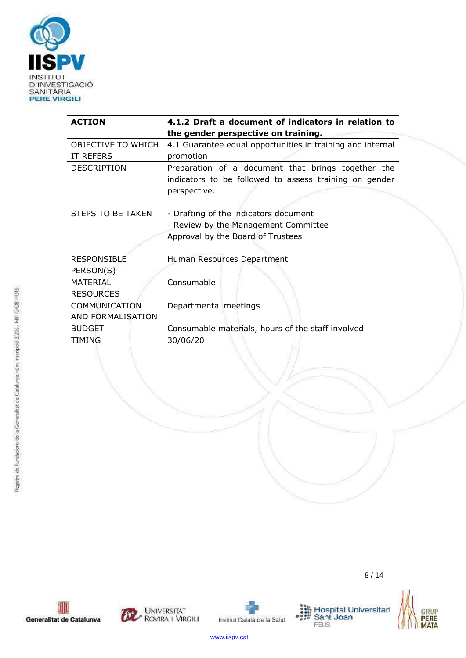

| <b>ACTION</b>                          | 4.1.2 Draft a document of indicators in relation to<br>the gender perspective on training.                                   |
|----------------------------------------|------------------------------------------------------------------------------------------------------------------------------|
| <b>OBJECTIVE TO WHICH</b><br>IT REFERS | 4.1 Guarantee equal opportunities in training and internal<br>promotion                                                      |
| <b>DESCRIPTION</b>                     | Preparation of a document that brings together the<br>indicators to be followed to assess training on gender<br>perspective. |
| STEPS TO BE TAKEN                      | - Drafting of the indicators document<br>- Review by the Management Committee<br>Approval by the Board of Trustees           |
| <b>RESPONSIBLE</b><br>PERSON(S)        | Human Resources Department                                                                                                   |
| <b>MATERIAL</b><br><b>RESOURCES</b>    | Consumable                                                                                                                   |
| COMMUNICATION<br>AND FORMALISATION     | Departmental meetings                                                                                                        |
| <b>BUDGET</b>                          | Consumable materials, hours of the staff involved                                                                            |
| TIMING                                 | 30/06/20                                                                                                                     |









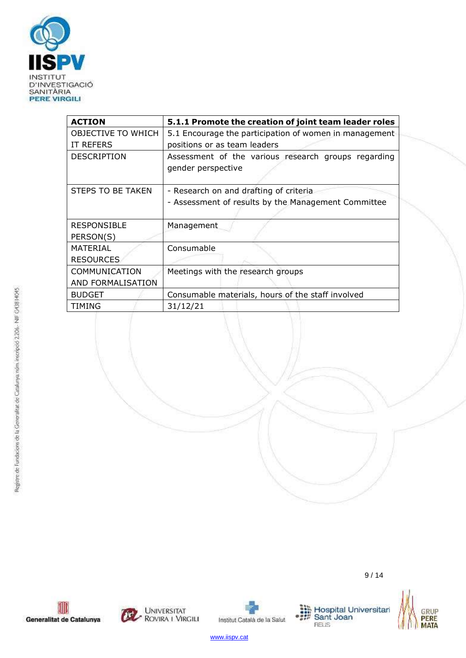

| <b>ACTION</b>             | 5.1.1 Promote the creation of joint team leader roles  |
|---------------------------|--------------------------------------------------------|
| <b>OBJECTIVE TO WHICH</b> | 5.1 Encourage the participation of women in management |
| IT REFERS                 | positions or as team leaders                           |
| <b>DESCRIPTION</b>        | Assessment of the various research groups regarding    |
|                           | gender perspective                                     |
|                           |                                                        |
| STEPS TO BE TAKEN         | - Research on and drafting of criteria                 |
|                           | - Assessment of results by the Management Committee    |
|                           |                                                        |
| <b>RESPONSIBLE</b>        | Management                                             |
| PERSON(S)                 |                                                        |
| MATERIAL                  | Consumable                                             |
| <b>RESOURCES</b>          |                                                        |
| COMMUNICATION             | Meetings with the research groups                      |
| AND FORMALISATION         |                                                        |
| <b>BUDGET</b>             | Consumable materials, hours of the staff involved      |
| TIMING                    | 31/12/21                                               |
|                           |                                                        |

O Generalitat de Catalunya









9 / 14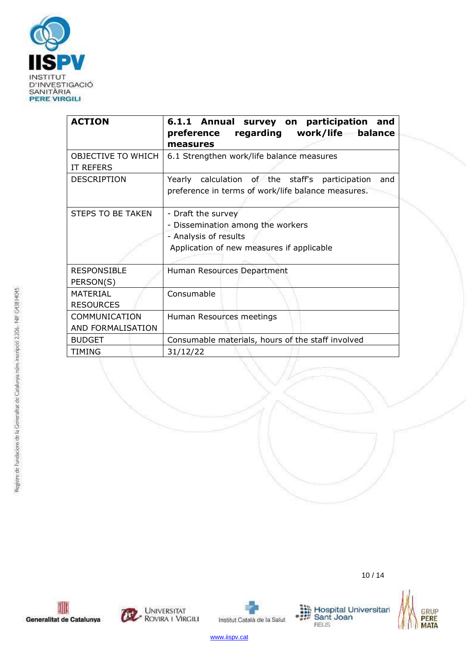

| <b>ACTION</b>                      | 6.1.1 Annual survey on participation and<br>work/life balance<br>regarding<br>preference<br>measures                          |
|------------------------------------|-------------------------------------------------------------------------------------------------------------------------------|
| OBJECTIVE TO WHICH<br>IT REFERS    | 6.1 Strengthen work/life balance measures                                                                                     |
| <b>DESCRIPTION</b>                 | Yearly calculation of the staff's participation<br>and<br>preference in terms of work/life balance measures.                  |
| <b>STEPS TO BE TAKEN</b>           | - Draft the survey<br>- Dissemination among the workers<br>- Analysis of results<br>Application of new measures if applicable |
| <b>RESPONSIBLE</b><br>PERSON(S)    | Human Resources Department                                                                                                    |
| MATERIAL<br><b>RESOURCES</b>       | Consumable                                                                                                                    |
| COMMUNICATION<br>AND FORMALISATION | Human Resources meetings                                                                                                      |
| <b>BUDGET</b>                      | Consumable materials, hours of the staff involved                                                                             |
| TIMING                             | 31/12/22                                                                                                                      |



0 Generalitat de Catalunya





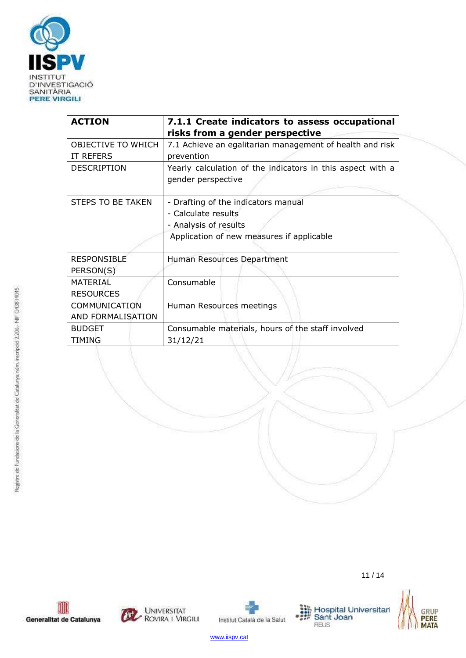

| <b>ACTION</b>                          | 7.1.1 Create indicators to assess occupational<br>risks from a gender perspective                                                |
|----------------------------------------|----------------------------------------------------------------------------------------------------------------------------------|
| <b>OBJECTIVE TO WHICH</b><br>IT REFERS | 7.1 Achieve an egalitarian management of health and risk<br>prevention                                                           |
| <b>DESCRIPTION</b>                     | Yearly calculation of the indicators in this aspect with a<br>gender perspective                                                 |
| STEPS TO BE TAKEN                      | - Drafting of the indicators manual<br>- Calculate results<br>- Analysis of results<br>Application of new measures if applicable |
| <b>RESPONSIBLE</b><br>PERSON(S)        | Human Resources Department                                                                                                       |
| MATERIAL<br><b>RESOURCES</b>           | Consumable                                                                                                                       |
| COMMUNICATION<br>AND FORMALISATION     | Human Resources meetings                                                                                                         |
| <b>BUDGET</b>                          | Consumable materials, hours of the staff involved                                                                                |
| <b>TIMING</b>                          | 31/12/21                                                                                                                         |



O Generalitat de Catalunya







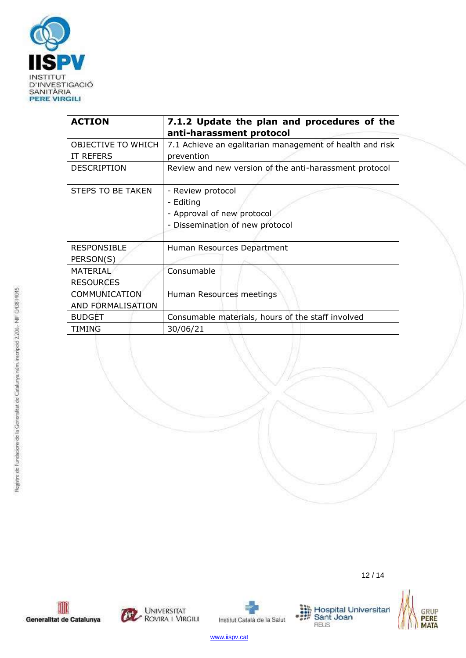

| 7.1.2 Update the plan and procedures of the<br>anti-harassment protocol |
|-------------------------------------------------------------------------|
| 7.1 Achieve an egalitarian management of health and risk                |
| prevention                                                              |
| Review and new version of the anti-harassment protocol                  |
| - Review protocol                                                       |
| - Editing                                                               |
| - Approval of new protocol                                              |
| - Dissemination of new protocol                                         |
|                                                                         |
| Human Resources Department                                              |
|                                                                         |
| Consumable                                                              |
|                                                                         |
| Human Resources meetings                                                |
|                                                                         |
| Consumable materials, hours of the staff involved                       |
| 30/06/21                                                                |
|                                                                         |

Hospital Universitari<br>
Sant Joan<br>
REUS



O Generalitat de Catalunya



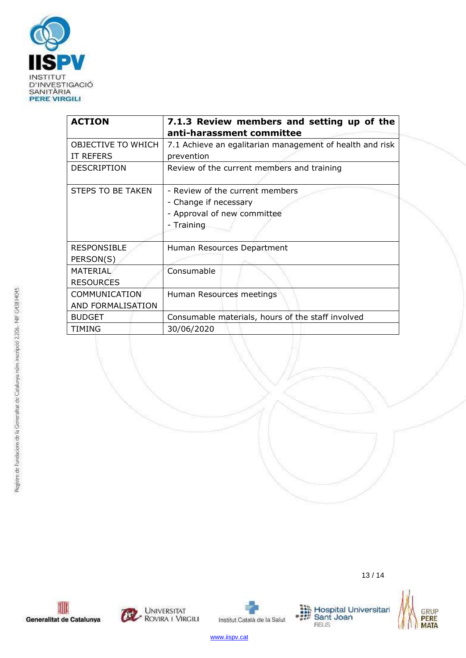

| <b>ACTION</b>             | 7.1.3 Review members and setting up of the<br>anti-harassment committee |
|---------------------------|-------------------------------------------------------------------------|
| <b>OBJECTIVE TO WHICH</b> | 7.1 Achieve an egalitarian management of health and risk                |
| IT REFERS                 | prevention                                                              |
| <b>DESCRIPTION</b>        | Review of the current members and training                              |
| STEPS TO BE TAKEN         | - Review of the current members                                         |
|                           | - Change if necessary                                                   |
|                           | - Approval of new committee                                             |
|                           | - Training                                                              |
|                           |                                                                         |
| RESPONSIBLE               | Human Resources Department                                              |
| PERSON(S)                 |                                                                         |
| MATERIAL                  | Consumable                                                              |
| <b>RESOURCES</b>          |                                                                         |
| <b>COMMUNICATION</b>      | Human Resources meetings                                                |
| AND FORMALISATION         |                                                                         |
| <b>BUDGET</b>             | Consumable materials, hours of the staff involved                       |
| TIMING                    | 30/06/2020                                                              |



O Generalitat de Catalunya



Institut Català de la Salut



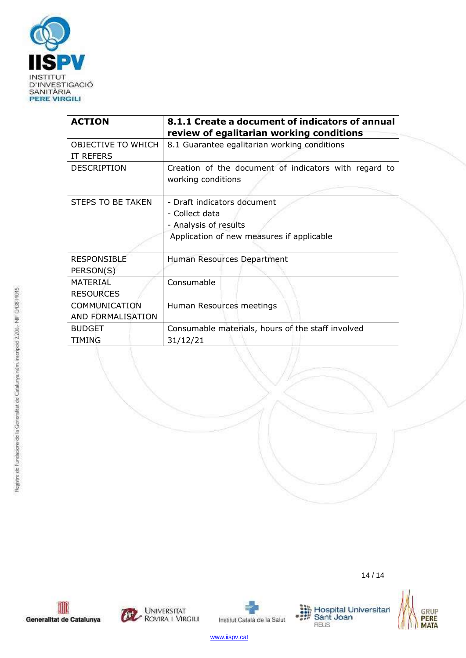

| <b>ACTION</b>      | 8.1.1 Create a document of indicators of annual       |
|--------------------|-------------------------------------------------------|
|                    | review of egalitarian working conditions              |
| OBJECTIVE TO WHICH |                                                       |
|                    | 8.1 Guarantee egalitarian working conditions          |
| IT REFERS          |                                                       |
| <b>DESCRIPTION</b> | Creation of the document of indicators with regard to |
|                    | working conditions                                    |
|                    |                                                       |
| STEPS TO BE TAKEN  | - Draft indicators document                           |
|                    | - Collect data                                        |
|                    | - Analysis of results                                 |
|                    | Application of new measures if applicable             |
|                    |                                                       |
| <b>RESPONSIBLE</b> | Human Resources Department                            |
| PERSON(S)          |                                                       |
| <b>MATERIAL</b>    | Consumable                                            |
| <b>RESOURCES</b>   |                                                       |
| COMMUNICATION      | Human Resources meetings                              |
| AND FORMALISATION  |                                                       |
| <b>BUDGET</b>      | Consumable materials, hours of the staff involved     |
| TIMING             | 31/12/21                                              |









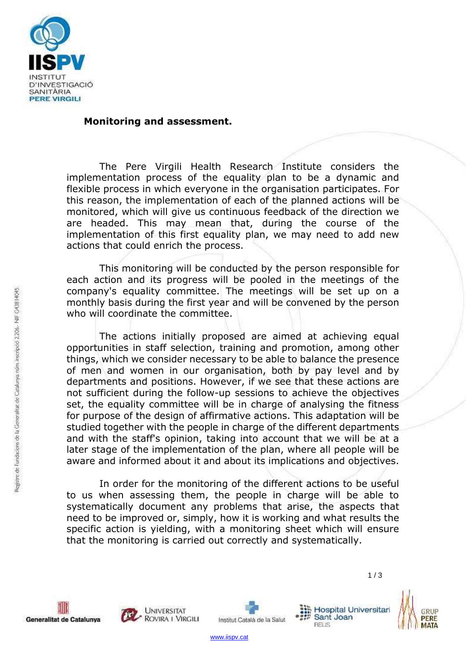

# **Monitoring and assessment.**

The Pere Virgili Health Research Institute considers the implementation process of the equality plan to be a dynamic and flexible process in which everyone in the organisation participates. For this reason, the implementation of each of the planned actions will be monitored, which will give us continuous feedback of the direction we are headed. This may mean that, during the course of the implementation of this first equality plan, we may need to add new actions that could enrich the process.

This monitoring will be conducted by the person responsible for each action and its progress will be pooled in the meetings of the company's equality committee. The meetings will be set up on a monthly basis during the first year and will be convened by the person who will coordinate the committee.

The actions initially proposed are aimed at achieving equal opportunities in staff selection, training and promotion, among other things, which we consider necessary to be able to balance the presence of men and women in our organisation, both by pay level and by departments and positions. However, if we see that these actions are not sufficient during the follow-up sessions to achieve the objectives set, the equality committee will be in charge of analysing the fitness for purpose of the design of affirmative actions. This adaptation will be studied together with the people in charge of the different departments and with the staff's opinion, taking into account that we will be at a later stage of the implementation of the plan, where all people will be aware and informed about it and about its implications and objectives.

In order for the monitoring of the different actions to be useful to us when assessing them, the people in charge will be able to systematically document any problems that arise, the aspects that need to be improved or, simply, how it is working and what results the specific action is yielding, with a monitoring sheet which will ensure that the monitoring is carried out correctly and systematically.









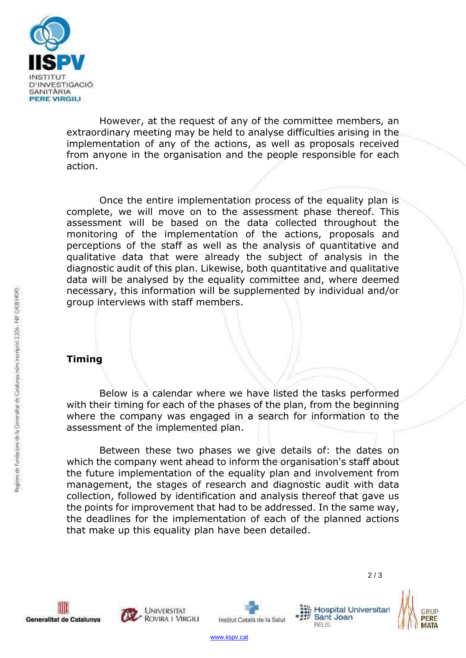

However, at the request of any of the committee members, an extraordinary meeting may be held to analyse difficulties arising in the implementation of any of the actions, as well as proposals received from anyone in the organisation and the people responsible for each action.

Once the entire implementation process of the equality plan is complete, we will move on to the assessment phase thereof. This assessment will be based on the data collected throughout the monitoring of the implementation of the actions, proposals and perceptions of the staff as well as the analysis of quantitative and qualitative data that were already the subject of analysis in the diagnostic audit of this plan. Likewise, both quantitative and qualitative data will be analysed by the equality committee and, where deemed necessary, this information will be supplemented by individual and/or group interviews with staff members.

# **Timing**

Below is a calendar where we have listed the tasks performed with their timing for each of the phases of the plan, from the beginning where the company was engaged in a search for information to the assessment of the implemented plan.

Between these two phases we give details of: the dates on which the company went ahead to inform the organisation's staff about the future implementation of the equality plan and involvement from management, the stages of research and diagnostic audit with data collection, followed by identification and analysis thereof that gave us the points for improvement that had to be addressed. In the same way, the deadlines for the implementation of each of the planned actions that make up this equality plan have been detailed.







[www.iispv.cat](http://www.iispv.cat/)



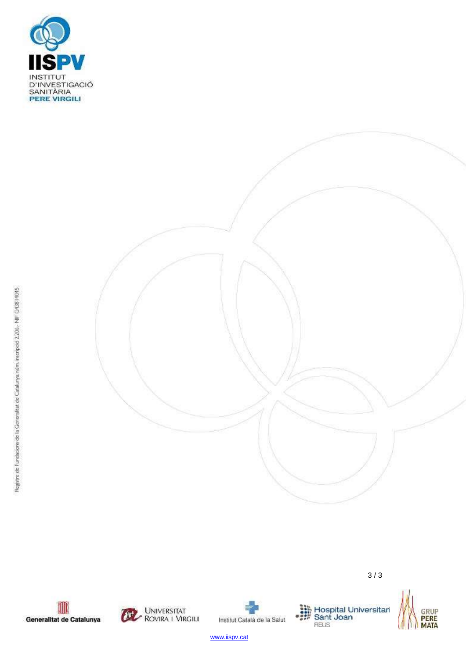





UNIVERSITAT

Institut Català de la Salut







0 Generalitat de Catalunya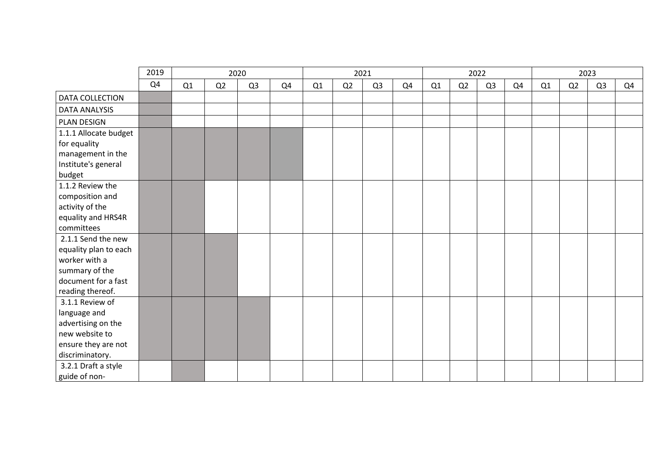|                       | 2019 |    |    | 2020           |    |    |    | 2021           |    | 2022 |    |                |    | 2023 |    |                |    |
|-----------------------|------|----|----|----------------|----|----|----|----------------|----|------|----|----------------|----|------|----|----------------|----|
|                       | Q4   | Q1 | Q2 | Q <sub>3</sub> | Q4 | Q1 | Q2 | Q <sub>3</sub> | Q4 | Q1   | Q2 | Q <sub>3</sub> | Q4 | Q1   | Q2 | Q <sub>3</sub> | Q4 |
| DATA COLLECTION       |      |    |    |                |    |    |    |                |    |      |    |                |    |      |    |                |    |
| DATA ANALYSIS         |      |    |    |                |    |    |    |                |    |      |    |                |    |      |    |                |    |
| <b>PLAN DESIGN</b>    |      |    |    |                |    |    |    |                |    |      |    |                |    |      |    |                |    |
| 1.1.1 Allocate budget |      |    |    |                |    |    |    |                |    |      |    |                |    |      |    |                |    |
| for equality          |      |    |    |                |    |    |    |                |    |      |    |                |    |      |    |                |    |
| management in the     |      |    |    |                |    |    |    |                |    |      |    |                |    |      |    |                |    |
| Institute's general   |      |    |    |                |    |    |    |                |    |      |    |                |    |      |    |                |    |
| budget                |      |    |    |                |    |    |    |                |    |      |    |                |    |      |    |                |    |
| 1.1.2 Review the      |      |    |    |                |    |    |    |                |    |      |    |                |    |      |    |                |    |
| composition and       |      |    |    |                |    |    |    |                |    |      |    |                |    |      |    |                |    |
| activity of the       |      |    |    |                |    |    |    |                |    |      |    |                |    |      |    |                |    |
| equality and HRS4R    |      |    |    |                |    |    |    |                |    |      |    |                |    |      |    |                |    |
| committees            |      |    |    |                |    |    |    |                |    |      |    |                |    |      |    |                |    |
| 2.1.1 Send the new    |      |    |    |                |    |    |    |                |    |      |    |                |    |      |    |                |    |
| equality plan to each |      |    |    |                |    |    |    |                |    |      |    |                |    |      |    |                |    |
| worker with a         |      |    |    |                |    |    |    |                |    |      |    |                |    |      |    |                |    |
| summary of the        |      |    |    |                |    |    |    |                |    |      |    |                |    |      |    |                |    |
| document for a fast   |      |    |    |                |    |    |    |                |    |      |    |                |    |      |    |                |    |
| reading thereof.      |      |    |    |                |    |    |    |                |    |      |    |                |    |      |    |                |    |
| 3.1.1 Review of       |      |    |    |                |    |    |    |                |    |      |    |                |    |      |    |                |    |
| language and          |      |    |    |                |    |    |    |                |    |      |    |                |    |      |    |                |    |
| advertising on the    |      |    |    |                |    |    |    |                |    |      |    |                |    |      |    |                |    |
| new website to        |      |    |    |                |    |    |    |                |    |      |    |                |    |      |    |                |    |
| ensure they are not   |      |    |    |                |    |    |    |                |    |      |    |                |    |      |    |                |    |
| discriminatory.       |      |    |    |                |    |    |    |                |    |      |    |                |    |      |    |                |    |
| 3.2.1 Draft a style   |      |    |    |                |    |    |    |                |    |      |    |                |    |      |    |                |    |
| guide of non-         |      |    |    |                |    |    |    |                |    |      |    |                |    |      |    |                |    |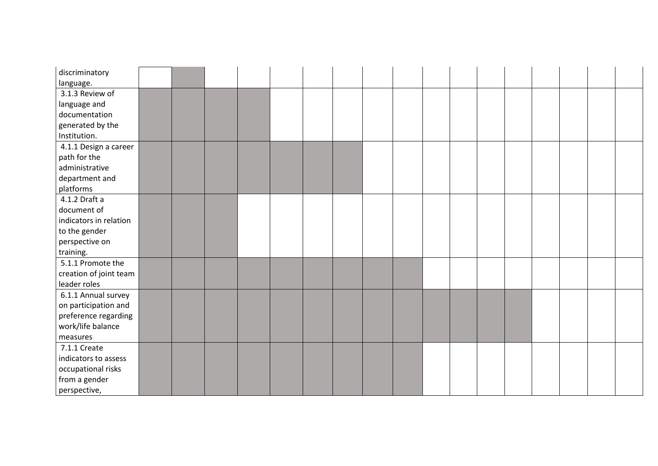| discriminatory         |  |  |  |  |  |  |  |  |  |
|------------------------|--|--|--|--|--|--|--|--|--|
| language.              |  |  |  |  |  |  |  |  |  |
| 3.1.3 Review of        |  |  |  |  |  |  |  |  |  |
| language and           |  |  |  |  |  |  |  |  |  |
| documentation          |  |  |  |  |  |  |  |  |  |
| generated by the       |  |  |  |  |  |  |  |  |  |
| Institution.           |  |  |  |  |  |  |  |  |  |
| 4.1.1 Design a career  |  |  |  |  |  |  |  |  |  |
| path for the           |  |  |  |  |  |  |  |  |  |
| administrative         |  |  |  |  |  |  |  |  |  |
| department and         |  |  |  |  |  |  |  |  |  |
| platforms              |  |  |  |  |  |  |  |  |  |
| 4.1.2 Draft a          |  |  |  |  |  |  |  |  |  |
| document of            |  |  |  |  |  |  |  |  |  |
| indicators in relation |  |  |  |  |  |  |  |  |  |
| to the gender          |  |  |  |  |  |  |  |  |  |
| perspective on         |  |  |  |  |  |  |  |  |  |
| training.              |  |  |  |  |  |  |  |  |  |
| 5.1.1 Promote the      |  |  |  |  |  |  |  |  |  |
| creation of joint team |  |  |  |  |  |  |  |  |  |
| leader roles           |  |  |  |  |  |  |  |  |  |
| 6.1.1 Annual survey    |  |  |  |  |  |  |  |  |  |
| on participation and   |  |  |  |  |  |  |  |  |  |
| preference regarding   |  |  |  |  |  |  |  |  |  |
| work/life balance      |  |  |  |  |  |  |  |  |  |
| measures               |  |  |  |  |  |  |  |  |  |
| 7.1.1 Create           |  |  |  |  |  |  |  |  |  |
| indicators to assess   |  |  |  |  |  |  |  |  |  |
| occupational risks     |  |  |  |  |  |  |  |  |  |
| from a gender          |  |  |  |  |  |  |  |  |  |
| perspective,           |  |  |  |  |  |  |  |  |  |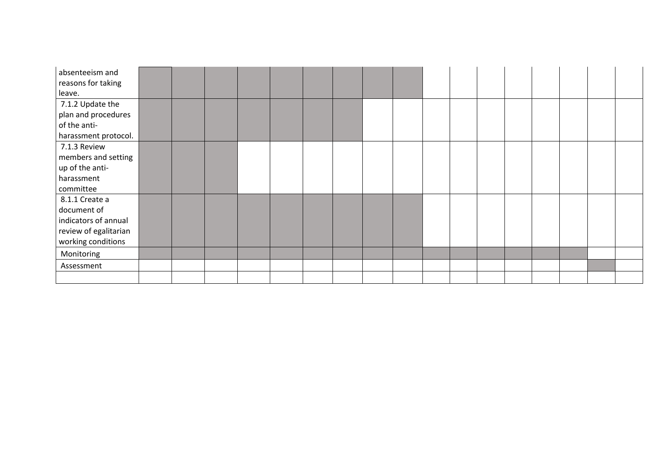| absenteeism and       |  |  |  |  |  |  |  |  |  |
|-----------------------|--|--|--|--|--|--|--|--|--|
| reasons for taking    |  |  |  |  |  |  |  |  |  |
| leave.                |  |  |  |  |  |  |  |  |  |
| 7.1.2 Update the      |  |  |  |  |  |  |  |  |  |
| plan and procedures   |  |  |  |  |  |  |  |  |  |
| of the anti-          |  |  |  |  |  |  |  |  |  |
| harassment protocol.  |  |  |  |  |  |  |  |  |  |
| 7.1.3 Review          |  |  |  |  |  |  |  |  |  |
| members and setting   |  |  |  |  |  |  |  |  |  |
| up of the anti-       |  |  |  |  |  |  |  |  |  |
| harassment            |  |  |  |  |  |  |  |  |  |
| committee             |  |  |  |  |  |  |  |  |  |
| 8.1.1 Create a        |  |  |  |  |  |  |  |  |  |
| document of           |  |  |  |  |  |  |  |  |  |
| indicators of annual  |  |  |  |  |  |  |  |  |  |
| review of egalitarian |  |  |  |  |  |  |  |  |  |
| working conditions    |  |  |  |  |  |  |  |  |  |
| Monitoring            |  |  |  |  |  |  |  |  |  |
| Assessment            |  |  |  |  |  |  |  |  |  |
|                       |  |  |  |  |  |  |  |  |  |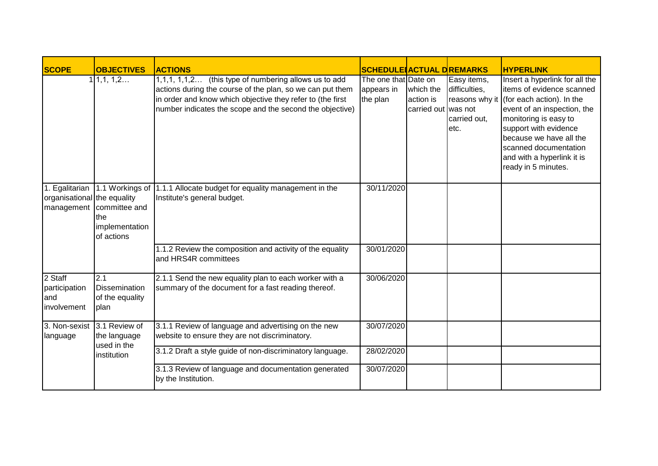| <b>SCOPE</b>                                                | <b>OBJECTIVES</b>                                                                 | <b>ACTIONS</b>                                                                                                                                                                                                                                      | <b>SCHEDULE ACTUAL DREMARKS</b>                |                                               |                                                                        | <b>HYPERLINK</b>                                                                                                                                                                                                                                                                   |
|-------------------------------------------------------------|-----------------------------------------------------------------------------------|-----------------------------------------------------------------------------------------------------------------------------------------------------------------------------------------------------------------------------------------------------|------------------------------------------------|-----------------------------------------------|------------------------------------------------------------------------|------------------------------------------------------------------------------------------------------------------------------------------------------------------------------------------------------------------------------------------------------------------------------------|
|                                                             | 1,1, 1, 2                                                                         | (this type of numbering allows us to add<br>1, 1, 1, 1, 1, 2<br>actions during the course of the plan, so we can put them<br>in order and know which objective they refer to (the first<br>number indicates the scope and the second the objective) | The one that Date on<br>appears in<br>the plan | which the<br>action is<br>carried out was not | Easy items,<br>difficulties,<br>reasons why it<br>carried out.<br>etc. | Insert a hyperlink for all the<br>items of evidence scanned<br>(for each action). In the<br>event of an inspection, the<br>monitoring is easy to<br>support with evidence<br>because we have all the<br>scanned documentation<br>and with a hyperlink it is<br>ready in 5 minutes. |
| 1. Egalitarian<br>organisational the equality<br>management | 1.1 Workings of<br>committee and<br>Ithe<br>implementation<br><b>l</b> of actions | 1.1.1 Allocate budget for equality management in the<br>Institute's general budget.                                                                                                                                                                 | 30/11/2020                                     |                                               |                                                                        |                                                                                                                                                                                                                                                                                    |
|                                                             |                                                                                   | 1.1.2 Review the composition and activity of the equality<br>and HRS4R committees                                                                                                                                                                   | 30/01/2020                                     |                                               |                                                                        |                                                                                                                                                                                                                                                                                    |
| 2 Staff<br>participation<br>and<br>involvement              | 12.1<br><b>Dissemination</b><br>of the equality<br><b>plan</b>                    | 2.1.1 Send the new equality plan to each worker with a<br>summary of the document for a fast reading thereof.                                                                                                                                       | 30/06/2020                                     |                                               |                                                                        |                                                                                                                                                                                                                                                                                    |
| 3. Non-sexist<br>language                                   | 3.1 Review of<br>the language                                                     | 3.1.1 Review of language and advertising on the new<br>website to ensure they are not discriminatory.                                                                                                                                               | 30/07/2020                                     |                                               |                                                                        |                                                                                                                                                                                                                                                                                    |
|                                                             | used in the<br>institution                                                        | 3.1.2 Draft a style guide of non-discriminatory language.                                                                                                                                                                                           | 28/02/2020                                     |                                               |                                                                        |                                                                                                                                                                                                                                                                                    |
|                                                             |                                                                                   | 3.1.3 Review of language and documentation generated<br>by the Institution.                                                                                                                                                                         | 30/07/2020                                     |                                               |                                                                        |                                                                                                                                                                                                                                                                                    |